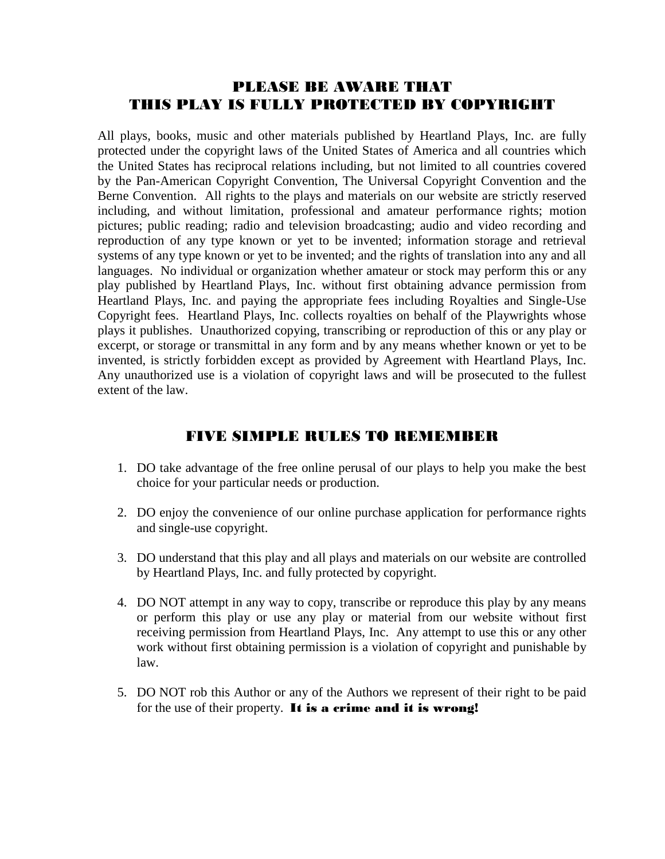# PLEASE BE AWARE THAT THIS PLAY IS FULLY PROTECTED BY COPYRIGHT

All plays, books, music and other materials published by Heartland Plays, Inc. are fully protected under the copyright laws of the United States of America and all countries which the United States has reciprocal relations including, but not limited to all countries covered by the Pan-American Copyright Convention, The Universal Copyright Convention and the Berne Convention. All rights to the plays and materials on our website are strictly reserved including, and without limitation, professional and amateur performance rights; motion pictures; public reading; radio and television broadcasting; audio and video recording and reproduction of any type known or yet to be invented; information storage and retrieval systems of any type known or yet to be invented; and the rights of translation into any and all languages. No individual or organization whether amateur or stock may perform this or any play published by Heartland Plays, Inc. without first obtaining advance permission from Heartland Plays, Inc. and paying the appropriate fees including Royalties and Single-Use Copyright fees. Heartland Plays, Inc. collects royalties on behalf of the Playwrights whose plays it publishes. Unauthorized copying, transcribing or reproduction of this or any play or excerpt, or storage or transmittal in any form and by any means whether known or yet to be invented, is strictly forbidden except as provided by Agreement with Heartland Plays, Inc. Any unauthorized use is a violation of copyright laws and will be prosecuted to the fullest extent of the law.

# FIVE SIMPLE RULES TO REMEMBER

- 1. DO take advantage of the free online perusal of our plays to help you make the best choice for your particular needs or production.
- 2. DO enjoy the convenience of our online purchase application for performance rights and single-use copyright.
- 3. DO understand that this play and all plays and materials on our website are controlled by Heartland Plays, Inc. and fully protected by copyright.
- 4. DO NOT attempt in any way to copy, transcribe or reproduce this play by any means or perform this play or use any play or material from our website without first receiving permission from Heartland Plays, Inc. Any attempt to use this or any other work without first obtaining permission is a violation of copyright and punishable by law.
- 5. DO NOT rob this Author or any of the Authors we represent of their right to be paid for the use of their property. It is a crime and it is wrong!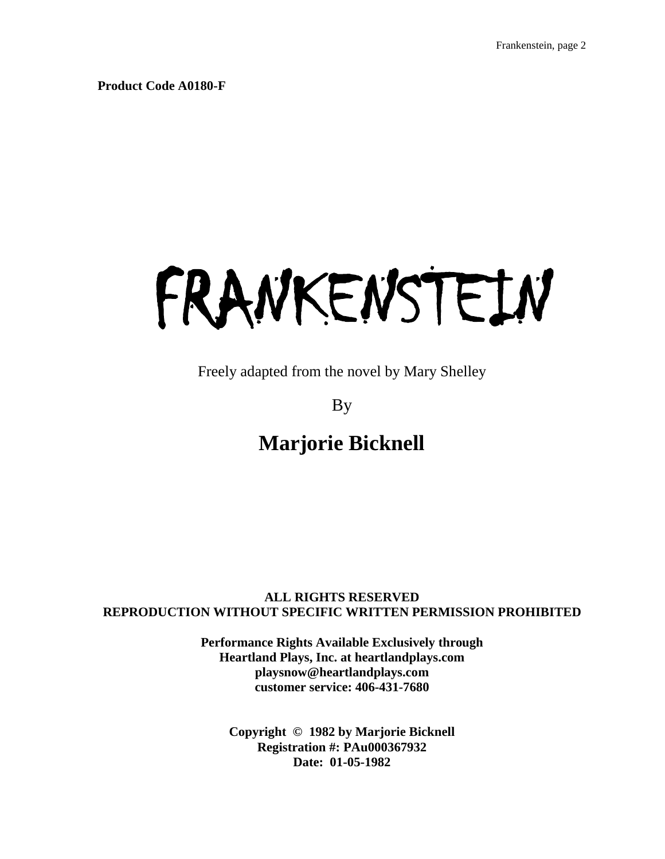**Product Code A0180-F**

# FRANKENSTEIN

Freely adapted from the novel by Mary Shelley

By

# **Marjorie Bicknell**

## **ALL RIGHTS RESERVED REPRODUCTION WITHOUT SPECIFIC WRITTEN PERMISSION PROHIBITED**

**Performance Rights Available Exclusively through Heartland Plays, Inc. at heartlandplays.com playsnow@heartlandplays.com customer service: 406-431-7680**

**Copyright © 1982 by Marjorie Bicknell Registration #: PAu000367932 Date: 01-05-1982**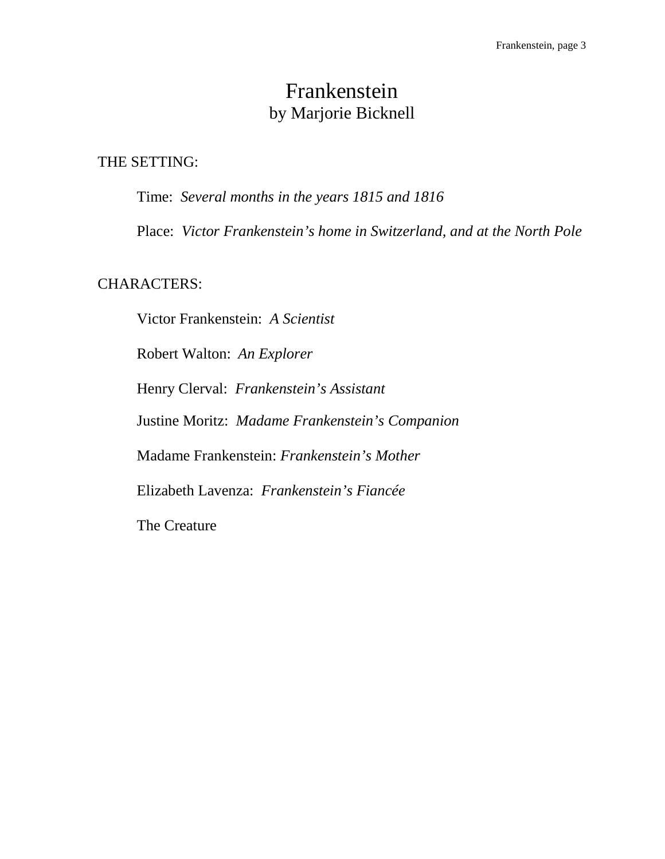# Frankenstein by Marjorie Bicknell

# THE SETTING:

Time: *Several months in the years 1815 and 1816*

Place: *Victor Frankenstein's home in Switzerland, and at the North Pole*

# CHARACTERS:

Victor Frankenstein: *A Scientist* Robert Walton: *An Explorer* Henry Clerval: *Frankenstein's Assistant* Justine Moritz: *Madame Frankenstein's Companion* Madame Frankenstein: *Frankenstein's Mother* Elizabeth Lavenza: *Frankenstein's Fiancée* The Creature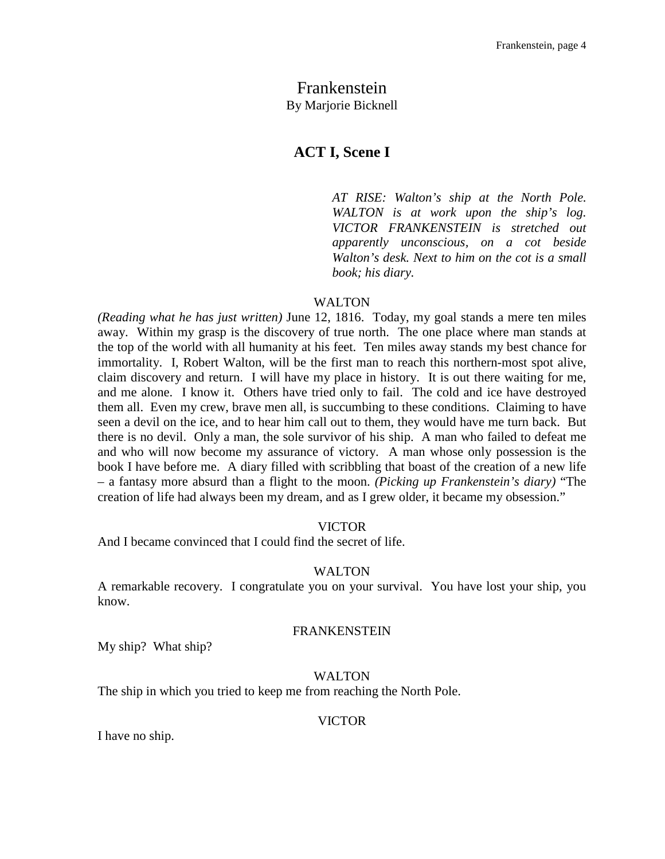# Frankenstein By Marjorie Bicknell

## **ACT I, Scene I**

*AT RISE: Walton's ship at the North Pole. WALTON is at work upon the ship's log. VICTOR FRANKENSTEIN is stretched out apparently unconscious, on a cot beside Walton's desk. Next to him on the cot is a small book; his diary.*

#### WALTON

*(Reading what he has just written)* June 12, 1816. Today, my goal stands a mere ten miles away. Within my grasp is the discovery of true north. The one place where man stands at the top of the world with all humanity at his feet. Ten miles away stands my best chance for immortality. I, Robert Walton, will be the first man to reach this northern-most spot alive, claim discovery and return. I will have my place in history. It is out there waiting for me, and me alone. I know it. Others have tried only to fail. The cold and ice have destroyed them all. Even my crew, brave men all, is succumbing to these conditions. Claiming to have seen a devil on the ice, and to hear him call out to them, they would have me turn back. But there is no devil. Only a man, the sole survivor of his ship. A man who failed to defeat me and who will now become my assurance of victory. A man whose only possession is the book I have before me. A diary filled with scribbling that boast of the creation of a new life – a fantasy more absurd than a flight to the moon. *(Picking up Frankenstein's diary)* "The creation of life had always been my dream, and as I grew older, it became my obsession."

#### VICTOR

And I became convinced that I could find the secret of life.

#### WALTON

A remarkable recovery. I congratulate you on your survival. You have lost your ship, you know.

#### FRANKENSTEIN

My ship? What ship?

#### WALTON

The ship in which you tried to keep me from reaching the North Pole.

#### VICTOR

I have no ship.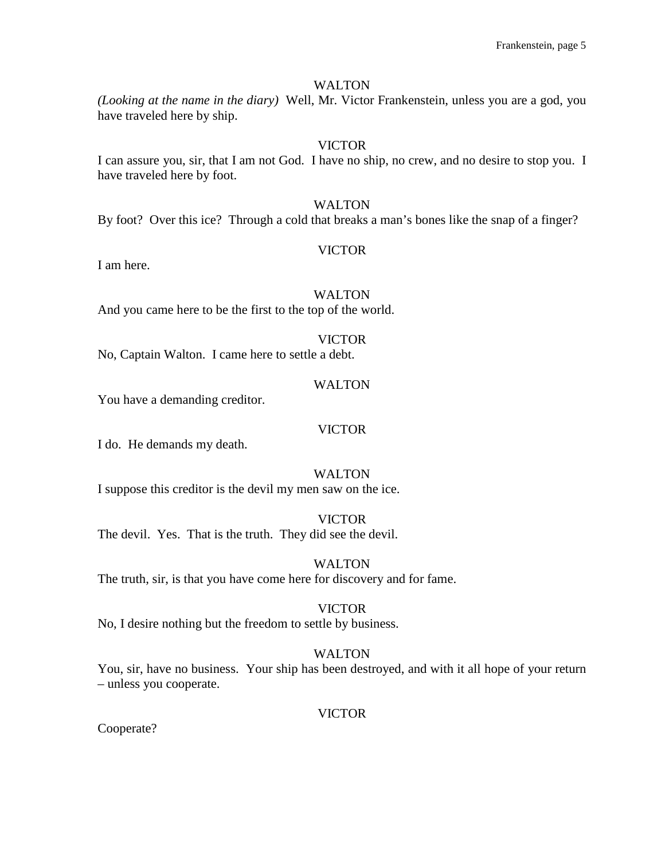## WALTON

*(Looking at the name in the diary)* Well, Mr. Victor Frankenstein, unless you are a god, you have traveled here by ship.

## VICTOR

I can assure you, sir, that I am not God. I have no ship, no crew, and no desire to stop you. I have traveled here by foot.

#### **WALTON**

By foot? Over this ice? Through a cold that breaks a man's bones like the snap of a finger?

## VICTOR

I am here.

## WALTON

And you came here to be the first to the top of the world.

#### VICTOR

No, Captain Walton. I came here to settle a debt.

#### WALTON

You have a demanding creditor.

## VICTOR

I do. He demands my death.

#### WALTON

I suppose this creditor is the devil my men saw on the ice.

## VICTOR

The devil. Yes. That is the truth. They did see the devil.

#### WALTON

The truth, sir, is that you have come here for discovery and for fame.

#### VICTOR

No, I desire nothing but the freedom to settle by business.

## WALTON

You, sir, have no business. Your ship has been destroyed, and with it all hope of your return – unless you cooperate.

#### VICTOR

Cooperate?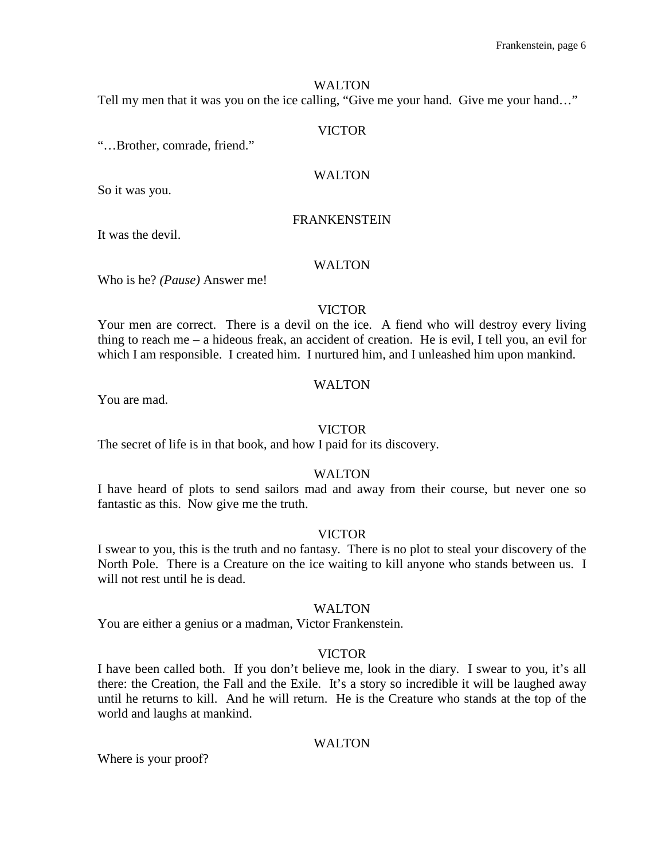## WALTON

Tell my men that it was you on the ice calling, "Give me your hand. Give me your hand…"

#### VICTOR

"…Brother, comrade, friend."

## WALTON

So it was you.

## FRANKENSTEIN

It was the devil.

## WALTON

Who is he? *(Pause)* Answer me!

## VICTOR

Your men are correct. There is a devil on the ice. A fiend who will destroy every living thing to reach me – a hideous freak, an accident of creation. He is evil, I tell you, an evil for which I am responsible. I created him. I nurtured him, and I unleashed him upon mankind.

## WALTON

You are mad.

## VICTOR

The secret of life is in that book, and how I paid for its discovery.

## WALTON

I have heard of plots to send sailors mad and away from their course, but never one so fantastic as this. Now give me the truth.

## VICTOR

I swear to you, this is the truth and no fantasy. There is no plot to steal your discovery of the North Pole. There is a Creature on the ice waiting to kill anyone who stands between us. I will not rest until he is dead.

## WALTON

You are either a genius or a madman, Victor Frankenstein.

## VICTOR

I have been called both. If you don't believe me, look in the diary. I swear to you, it's all there: the Creation, the Fall and the Exile. It's a story so incredible it will be laughed away until he returns to kill. And he will return. He is the Creature who stands at the top of the world and laughs at mankind.

## WALTON

Where is your proof?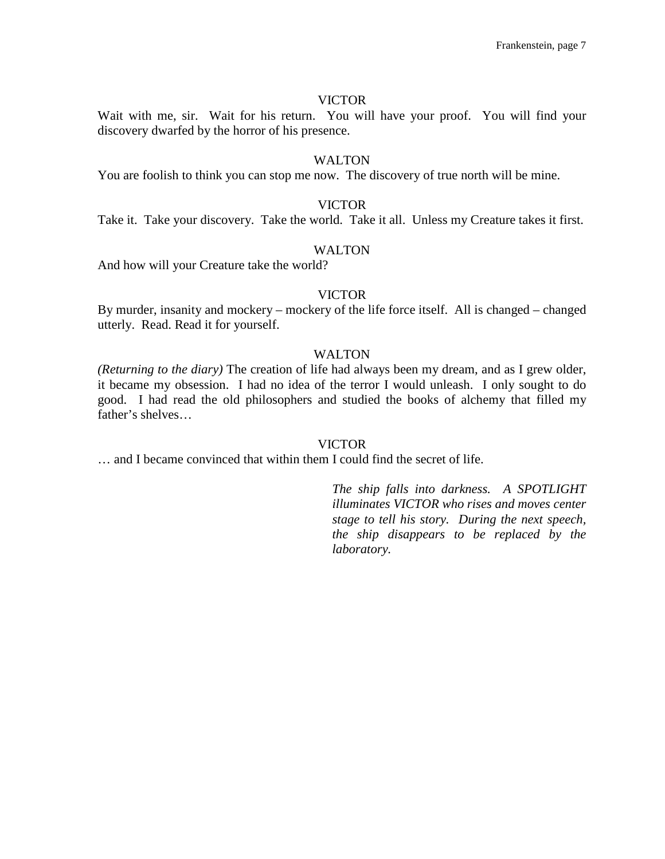Wait with me, sir. Wait for his return. You will have your proof. You will find your discovery dwarfed by the horror of his presence.

## **WALTON**

You are foolish to think you can stop me now. The discovery of true north will be mine.

## VICTOR

Take it. Take your discovery. Take the world. Take it all. Unless my Creature takes it first.

## WALTON

And how will your Creature take the world?

## VICTOR

By murder, insanity and mockery – mockery of the life force itself. All is changed – changed utterly. Read. Read it for yourself.

## WALTON

*(Returning to the diary)* The creation of life had always been my dream, and as I grew older, it became my obsession. I had no idea of the terror I would unleash. I only sought to do good. I had read the old philosophers and studied the books of alchemy that filled my father's shelves…

#### VICTOR

… and I became convinced that within them I could find the secret of life.

*The ship falls into darkness. A SPOTLIGHT illuminates VICTOR who rises and moves center stage to tell his story. During the next speech, the ship disappears to be replaced by the laboratory.*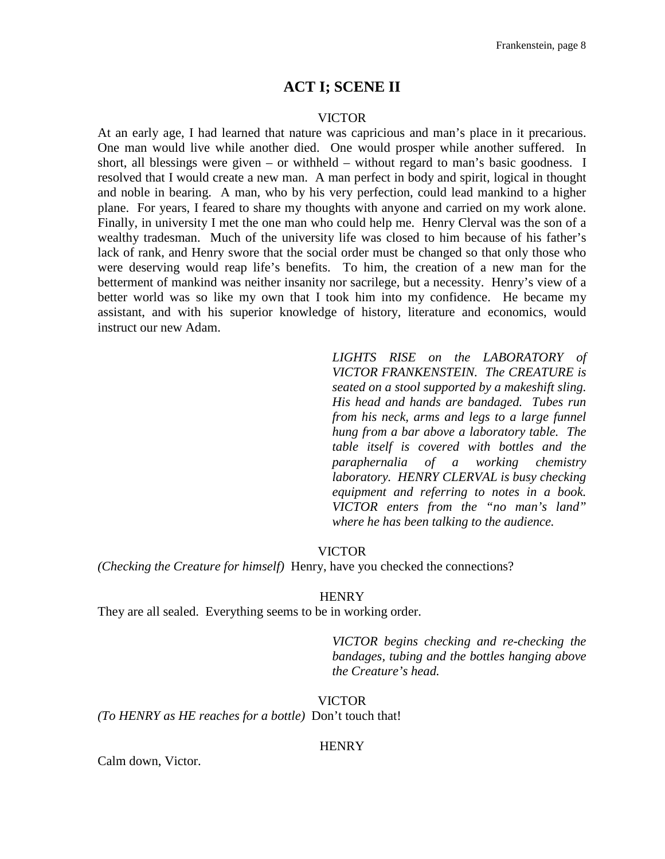## **ACT I; SCENE II**

#### VICTOR

At an early age, I had learned that nature was capricious and man's place in it precarious. One man would live while another died. One would prosper while another suffered. In short, all blessings were given – or withheld – without regard to man's basic goodness. I resolved that I would create a new man. A man perfect in body and spirit, logical in thought and noble in bearing. A man, who by his very perfection, could lead mankind to a higher plane. For years, I feared to share my thoughts with anyone and carried on my work alone. Finally, in university I met the one man who could help me. Henry Clerval was the son of a wealthy tradesman. Much of the university life was closed to him because of his father's lack of rank, and Henry swore that the social order must be changed so that only those who were deserving would reap life's benefits. To him, the creation of a new man for the betterment of mankind was neither insanity nor sacrilege, but a necessity. Henry's view of a better world was so like my own that I took him into my confidence. He became my assistant, and with his superior knowledge of history, literature and economics, would instruct our new Adam.

> *LIGHTS RISE on the LABORATORY of VICTOR FRANKENSTEIN. The CREATURE is seated on a stool supported by a makeshift sling. His head and hands are bandaged. Tubes run from his neck, arms and legs to a large funnel hung from a bar above a laboratory table. The table itself is covered with bottles and the paraphernalia of a working chemistry laboratory. HENRY CLERVAL is busy checking equipment and referring to notes in a book. VICTOR enters from the "no man's land" where he has been talking to the audience.*

#### VICTOR

*(Checking the Creature for himself)* Henry, have you checked the connections?

#### **HENRY**

They are all sealed. Everything seems to be in working order.

*VICTOR begins checking and re-checking the bandages, tubing and the bottles hanging above the Creature's head.*

## VICTOR

*(To HENRY as HE reaches for a bottle)* Don't touch that!

#### **HENRY**

Calm down, Victor.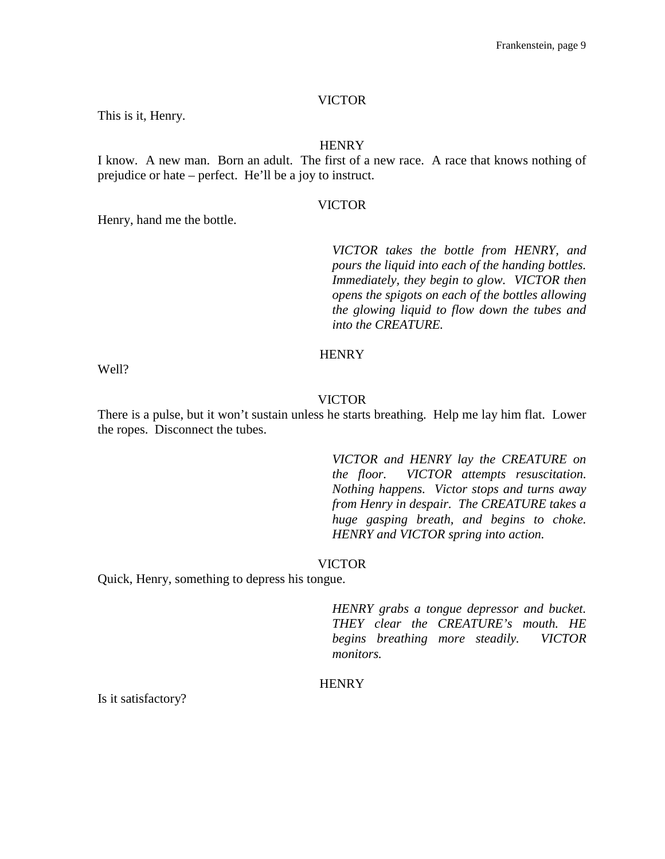This is it, Henry.

Henry, hand me the bottle.

## **HENRY**

I know. A new man. Born an adult. The first of a new race. A race that knows nothing of prejudice or hate – perfect. He'll be a joy to instruct.

## VICTOR

*VICTOR takes the bottle from HENRY, and pours the liquid into each of the handing bottles. Immediately, they begin to glow. VICTOR then opens the spigots on each of the bottles allowing the glowing liquid to flow down the tubes and into the CREATURE.*

#### **HENRY**

Well?

#### VICTOR

There is a pulse, but it won't sustain unless he starts breathing. Help me lay him flat. Lower the ropes. Disconnect the tubes.

> *VICTOR and HENRY lay the CREATURE on the floor. VICTOR attempts resuscitation. Nothing happens. Victor stops and turns away from Henry in despair. The CREATURE takes a huge gasping breath, and begins to choke. HENRY and VICTOR spring into action.*

#### VICTOR

Quick, Henry, something to depress his tongue.

*HENRY grabs a tongue depressor and bucket. THEY clear the CREATURE's mouth. HE begins breathing more steadily. VICTOR monitors.*

#### **HENRY**

Is it satisfactory?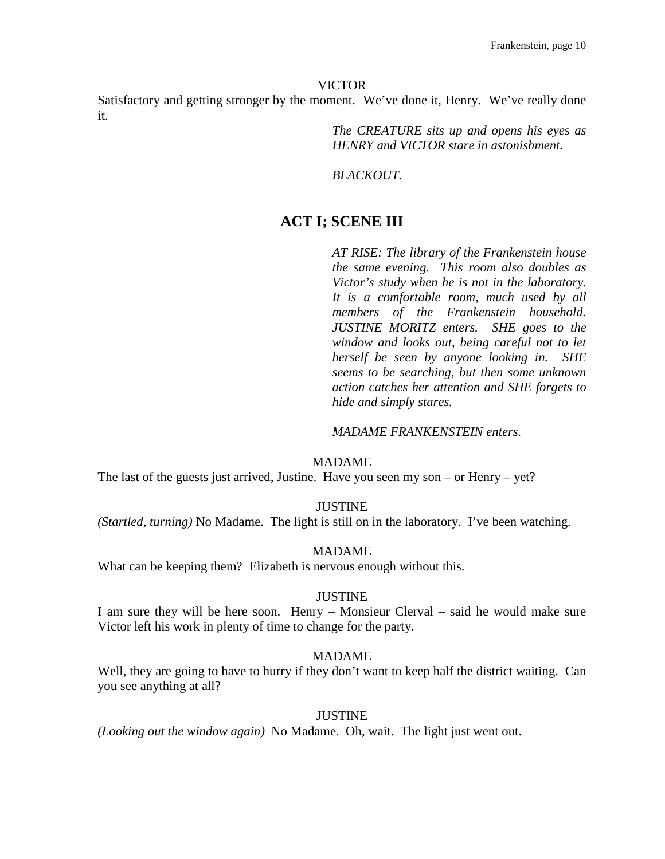Satisfactory and getting stronger by the moment. We've done it, Henry. We've really done it.

> *The CREATURE sits up and opens his eyes as HENRY and VICTOR stare in astonishment.*

*BLACKOUT.*

# **ACT I; SCENE III**

*AT RISE: The library of the Frankenstein house the same evening. This room also doubles as Victor's study when he is not in the laboratory. It is a comfortable room, much used by all members of the Frankenstein household. JUSTINE MORITZ enters. SHE goes to the window and looks out, being careful not to let herself be seen by anyone looking in. SHE seems to be searching, but then some unknown action catches her attention and SHE forgets to hide and simply stares.*

*MADAME FRANKENSTEIN enters.*

#### MADAME

The last of the guests just arrived, Justine. Have you seen my son – or Henry – yet?

#### **JUSTINE**

*(Startled, turning)* No Madame. The light is still on in the laboratory. I've been watching.

#### MADAME

What can be keeping them? Elizabeth is nervous enough without this.

#### JUSTINE

I am sure they will be here soon. Henry – Monsieur Clerval – said he would make sure Victor left his work in plenty of time to change for the party.

## MADAME

Well, they are going to have to hurry if they don't want to keep half the district waiting. Can you see anything at all?

#### JUSTINE

*(Looking out the window again)* No Madame. Oh, wait. The light just went out.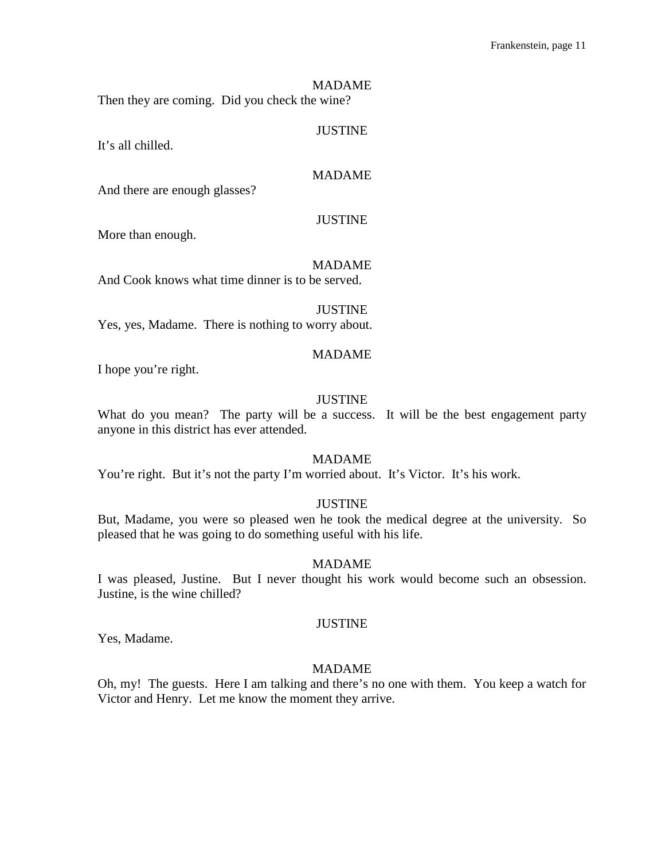#### MADAME

Then they are coming. Did you check the wine?

#### JUSTINE

It's all chilled.

## MADAME

And there are enough glasses?

#### JUSTINE

More than enough.

#### MADAME

And Cook knows what time dinner is to be served.

JUSTINE Yes, yes, Madame. There is nothing to worry about.

#### MADAME

I hope you're right.

## JUSTINE

What do you mean? The party will be a success. It will be the best engagement party anyone in this district has ever attended.

## MADAME

You're right. But it's not the party I'm worried about. It's Victor. It's his work.

## JUSTINE

But, Madame, you were so pleased wen he took the medical degree at the university. So pleased that he was going to do something useful with his life.

#### MADAME

I was pleased, Justine. But I never thought his work would become such an obsession. Justine, is the wine chilled?

## JUSTINE

Yes, Madame.

## MADAME

Oh, my! The guests. Here I am talking and there's no one with them. You keep a watch for Victor and Henry. Let me know the moment they arrive.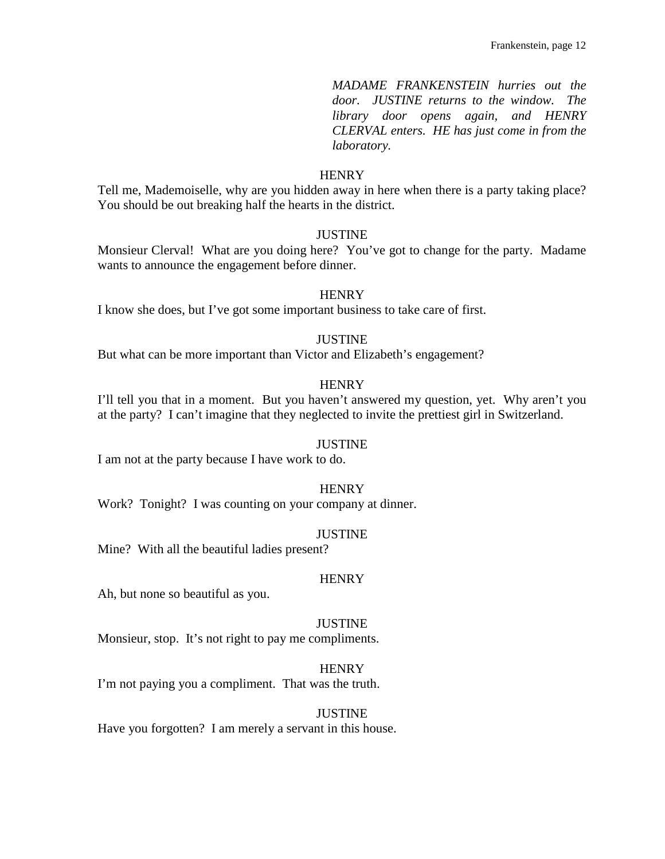*MADAME FRANKENSTEIN hurries out the door. JUSTINE returns to the window. The library door opens again, and HENRY CLERVAL enters. HE has just come in from the laboratory.*

#### **HENRY**

Tell me, Mademoiselle, why are you hidden away in here when there is a party taking place? You should be out breaking half the hearts in the district.

## **JUSTINE**

Monsieur Clerval! What are you doing here? You've got to change for the party. Madame wants to announce the engagement before dinner.

#### **HENRY**

I know she does, but I've got some important business to take care of first.

## JUSTINE

But what can be more important than Victor and Elizabeth's engagement?

## **HENRY**

I'll tell you that in a moment. But you haven't answered my question, yet. Why aren't you at the party? I can't imagine that they neglected to invite the prettiest girl in Switzerland.

#### JUSTINE

I am not at the party because I have work to do.

## **HENRY**

Work? Tonight? I was counting on your company at dinner.

#### **JUSTINE**

Mine? With all the beautiful ladies present?

#### **HENRY**

Ah, but none so beautiful as you.

#### JUSTINE

Monsieur, stop. It's not right to pay me compliments.

## **HENRY**

I'm not paying you a compliment. That was the truth.

#### **JUSTINE**

Have you forgotten? I am merely a servant in this house.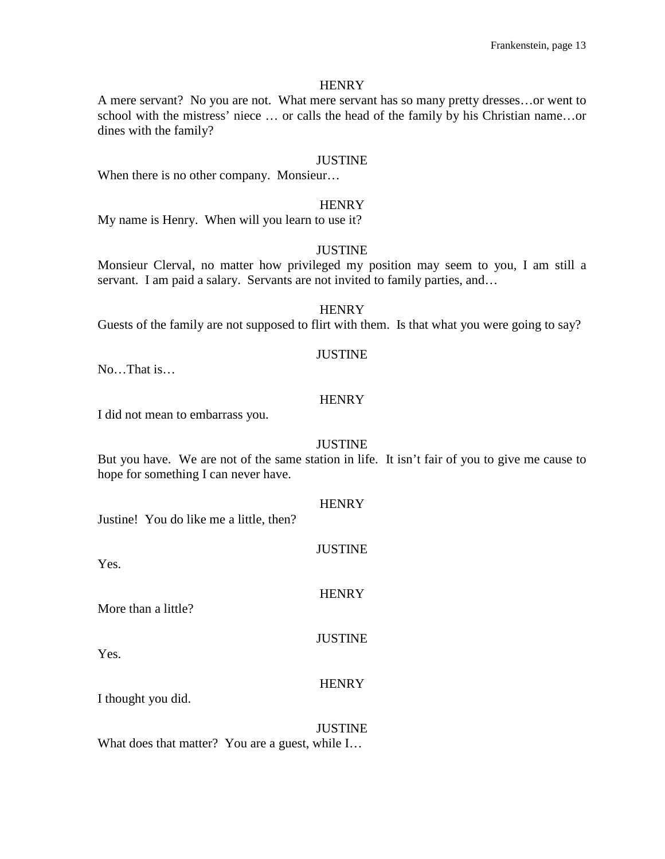A mere servant? No you are not. What mere servant has so many pretty dresses…or went to school with the mistress' niece … or calls the head of the family by his Christian name…or dines with the family?

#### JUSTINE

When there is no other company. Monsieur...

#### **HENRY**

My name is Henry. When will you learn to use it?

## JUSTINE

Monsieur Clerval, no matter how privileged my position may seem to you, I am still a servant. I am paid a salary. Servants are not invited to family parties, and...

## **HENRY**

Guests of the family are not supposed to flirt with them. Is that what you were going to say?

#### JUSTINE

No…That is…

#### **HENRY**

I did not mean to embarrass you.

#### JUSTINE

But you have. We are not of the same station in life. It isn't fair of you to give me cause to hope for something I can never have.

**HENRY** 

**JUSTINE** 

**HENRY** 

JUSTINE

Justine! You do like me a little, then?

Yes.

More than a little?

Yes.

#### **HENRY**

I thought you did.

# JUSTINE

What does that matter? You are a guest, while I…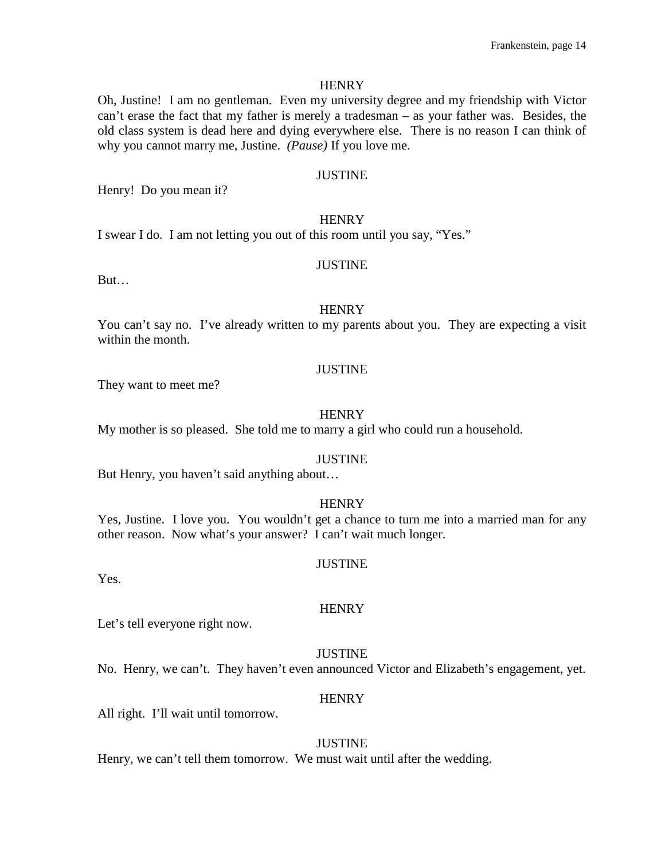Oh, Justine! I am no gentleman. Even my university degree and my friendship with Victor can't erase the fact that my father is merely a tradesman – as your father was. Besides, the old class system is dead here and dying everywhere else. There is no reason I can think of why you cannot marry me, Justine. *(Pause)* If you love me.

#### JUSTINE

Henry! Do you mean it?

#### **HENRY**

I swear I do. I am not letting you out of this room until you say, "Yes."

#### **JUSTINE**

But…

#### **HENRY**

You can't say no. I've already written to my parents about you. They are expecting a visit within the month.

#### JUSTINE

They want to meet me?

#### **HENRY**

My mother is so pleased. She told me to marry a girl who could run a household.

## JUSTINE

But Henry, you haven't said anything about…

#### **HENRY**

Yes, Justine. I love you. You wouldn't get a chance to turn me into a married man for any other reason. Now what's your answer? I can't wait much longer.

#### JUSTINE

Yes.

#### **HENRY**

Let's tell everyone right now.

#### JUSTINE

No. Henry, we can't. They haven't even announced Victor and Elizabeth's engagement, yet.

#### **HENRY**

All right. I'll wait until tomorrow.

#### **JUSTINE**

Henry, we can't tell them tomorrow. We must wait until after the wedding.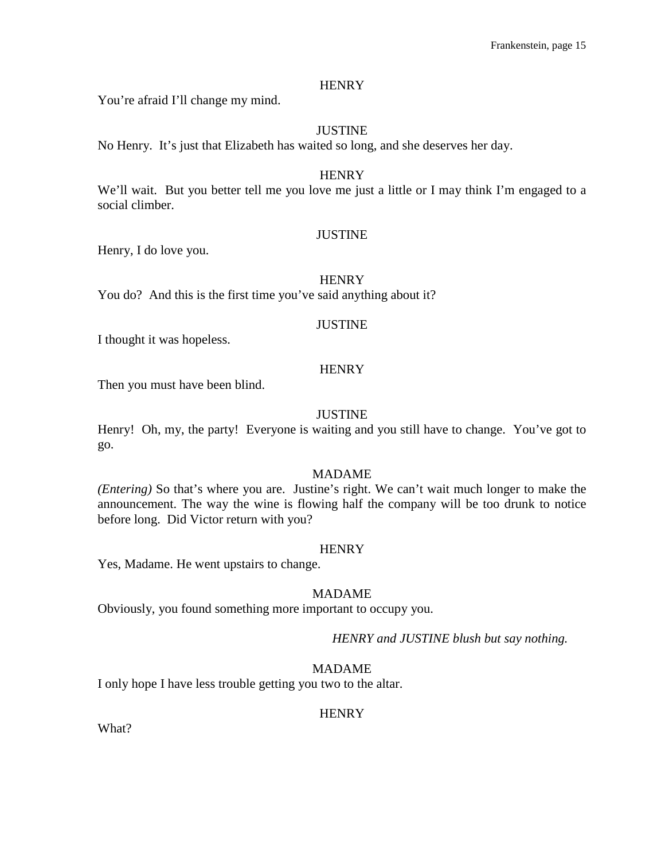You're afraid I'll change my mind.

## JUSTINE

No Henry. It's just that Elizabeth has waited so long, and she deserves her day.

#### **HENRY**

We'll wait. But you better tell me you love me just a little or I may think I'm engaged to a social climber.

## JUSTINE

Henry, I do love you.

#### **HENRY**

You do? And this is the first time you've said anything about it?

#### **JUSTINE**

I thought it was hopeless.

## **HENRY**

Then you must have been blind.

## **JUSTINE**

Henry! Oh, my, the party! Everyone is waiting and you still have to change. You've got to go.

## MADAME

*(Entering)* So that's where you are. Justine's right. We can't wait much longer to make the announcement. The way the wine is flowing half the company will be too drunk to notice before long. Did Victor return with you?

#### **HENRY**

Yes, Madame. He went upstairs to change.

#### MADAME

Obviously, you found something more important to occupy you.

#### *HENRY and JUSTINE blush but say nothing.*

## MADAME

I only hope I have less trouble getting you two to the altar.

#### **HENRY**

What?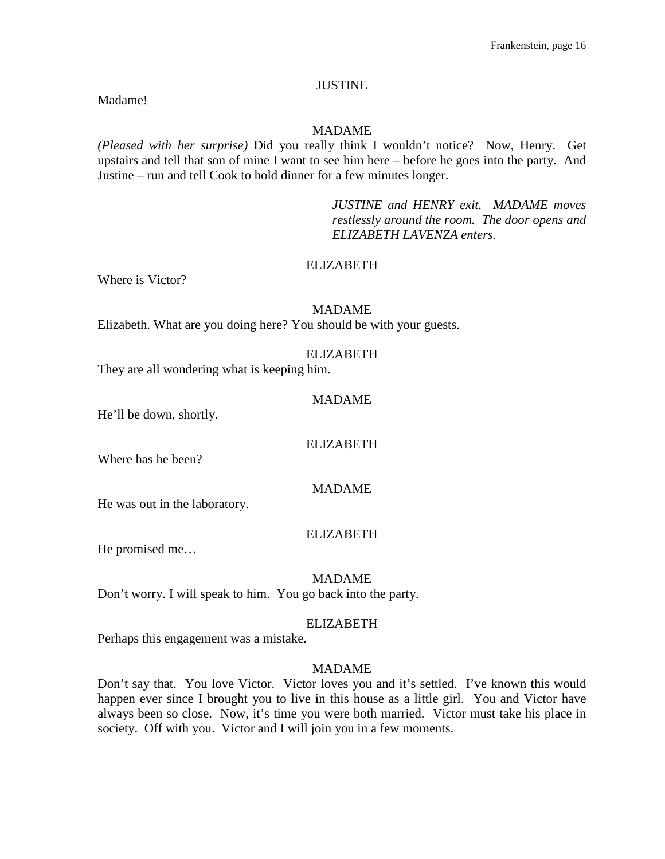## **JUSTINE**

Madame!

## MADAME

*(Pleased with her surprise)* Did you really think I wouldn't notice? Now, Henry. Get upstairs and tell that son of mine I want to see him here – before he goes into the party. And Justine – run and tell Cook to hold dinner for a few minutes longer.

> *JUSTINE and HENRY exit. MADAME moves restlessly around the room. The door opens and ELIZABETH LAVENZA enters.*

## ELIZABETH

Where is Victor?

## MADAME Elizabeth. What are you doing here? You should be with your guests.

#### ELIZABETH

They are all wondering what is keeping him.

#### MADAME

He'll be down, shortly.

#### ELIZABETH

Where has he been?

MADAME

He was out in the laboratory.

## ELIZABETH

He promised me…

#### MADAME

Don't worry. I will speak to him. You go back into the party.

#### ELIZABETH

Perhaps this engagement was a mistake.

## MADAME

Don't say that. You love Victor. Victor loves you and it's settled. I've known this would happen ever since I brought you to live in this house as a little girl. You and Victor have always been so close. Now, it's time you were both married. Victor must take his place in society. Off with you. Victor and I will join you in a few moments.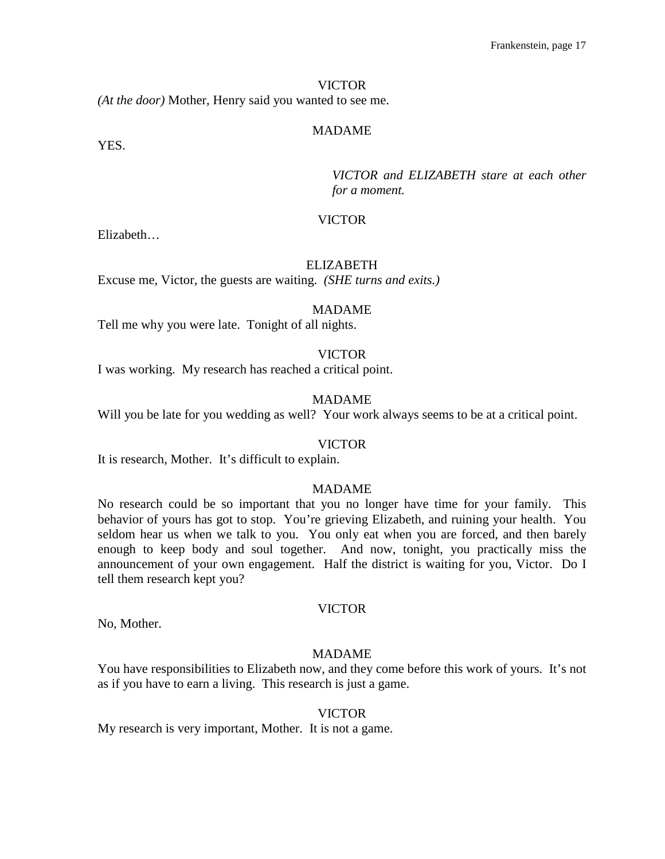*(At the door)* Mother, Henry said you wanted to see me.

## MADAME

YES.

*VICTOR and ELIZABETH stare at each other for a moment.*

## VICTOR

Elizabeth…

#### ELIZABETH

Excuse me, Victor, the guests are waiting. *(SHE turns and exits.)*

#### MADAME

Tell me why you were late. Tonight of all nights.

## VICTOR

I was working. My research has reached a critical point.

#### MADAME

Will you be late for you wedding as well? Your work always seems to be at a critical point.

#### VICTOR

It is research, Mother. It's difficult to explain.

## MADAME

No research could be so important that you no longer have time for your family. This behavior of yours has got to stop. You're grieving Elizabeth, and ruining your health. You seldom hear us when we talk to you. You only eat when you are forced, and then barely enough to keep body and soul together. And now, tonight, you practically miss the announcement of your own engagement. Half the district is waiting for you, Victor. Do I tell them research kept you?

#### VICTOR

No, Mother.

## MADAME

You have responsibilities to Elizabeth now, and they come before this work of yours. It's not as if you have to earn a living. This research is just a game.

#### VICTOR

My research is very important, Mother. It is not a game.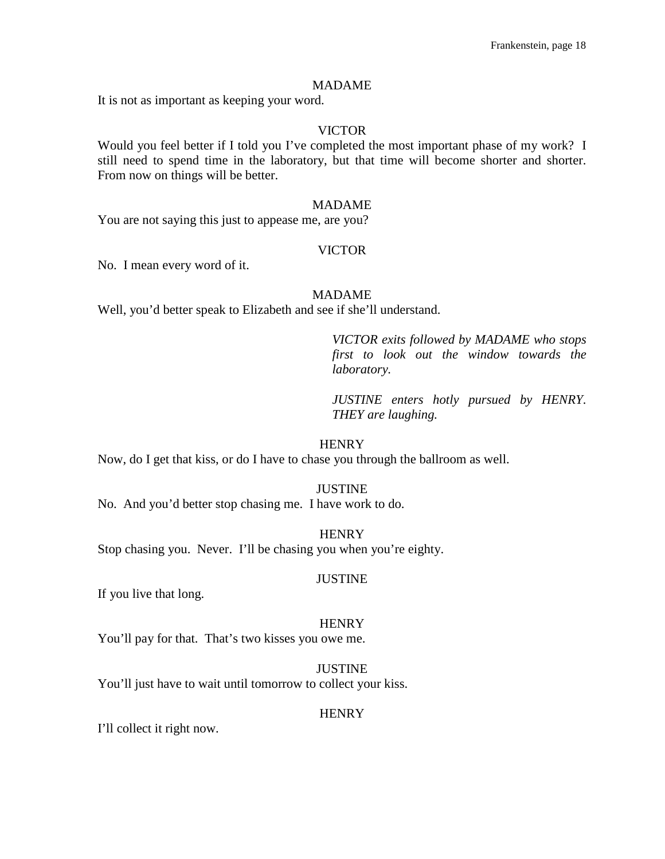#### MADAME

It is not as important as keeping your word.

## VICTOR

Would you feel better if I told you I've completed the most important phase of my work? I still need to spend time in the laboratory, but that time will become shorter and shorter. From now on things will be better.

#### MADAME

You are not saying this just to appease me, are you?

#### VICTOR

No. I mean every word of it.

#### MADAME

Well, you'd better speak to Elizabeth and see if she'll understand.

*VICTOR exits followed by MADAME who stops first to look out the window towards the laboratory.*

*JUSTINE enters hotly pursued by HENRY. THEY are laughing.*

#### **HENRY**

Now, do I get that kiss, or do I have to chase you through the ballroom as well.

#### JUSTINE

No. And you'd better stop chasing me. I have work to do.

#### **HENRY**

Stop chasing you. Never. I'll be chasing you when you're eighty.

#### JUSTINE

If you live that long.

#### **HENRY**

You'll pay for that. That's two kisses you owe me.

JUSTINE You'll just have to wait until tomorrow to collect your kiss.

#### **HENRY**

I'll collect it right now.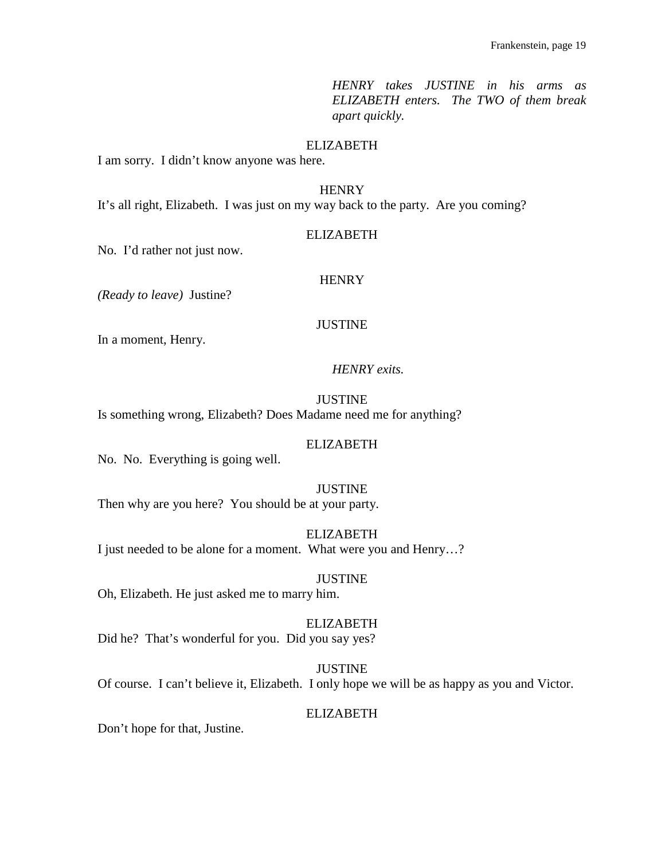*HENRY takes JUSTINE in his arms as ELIZABETH enters. The TWO of them break apart quickly.*

## ELIZABETH

I am sorry. I didn't know anyone was here.

## **HENRY**

It's all right, Elizabeth. I was just on my way back to the party. Are you coming?

#### ELIZABETH

No. I'd rather not just now.

#### **HENRY**

*(Ready to leave)* Justine?

## **JUSTINE**

In a moment, Henry.

## *HENRY exits.*

**JUSTINE** Is something wrong, Elizabeth? Does Madame need me for anything?

#### ELIZABETH

No. No. Everything is going well.

# JUSTINE

Then why are you here? You should be at your party.

ELIZABETH I just needed to be alone for a moment. What were you and Henry…?

JUSTINE

Oh, Elizabeth. He just asked me to marry him.

ELIZABETH Did he? That's wonderful for you. Did you say yes?

**JUSTINE** Of course. I can't believe it, Elizabeth. I only hope we will be as happy as you and Victor.

#### ELIZABETH

Don't hope for that, Justine.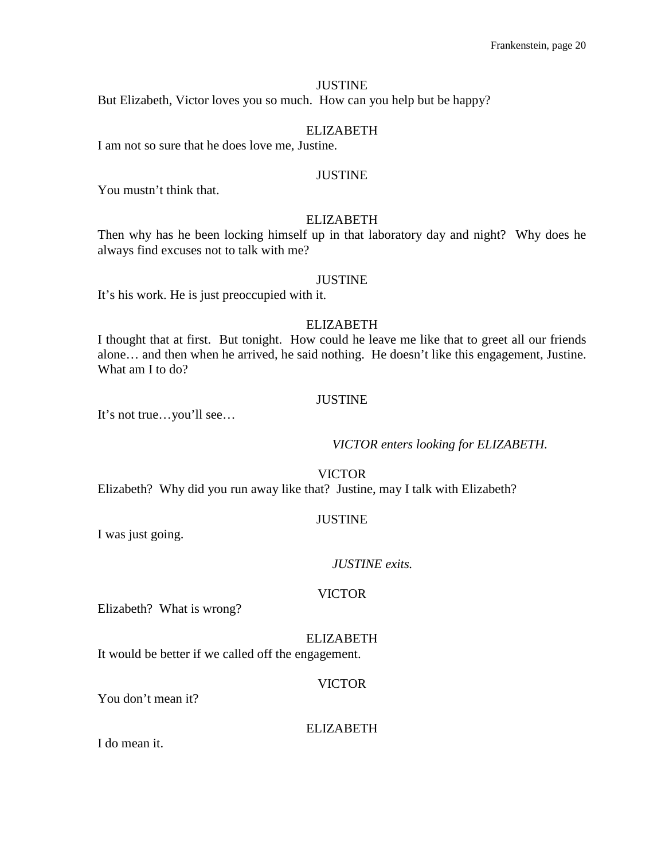## **JUSTINE**

But Elizabeth, Victor loves you so much. How can you help but be happy?

## ELIZABETH

I am not so sure that he does love me, Justine.

#### JUSTINE

You mustn't think that.

## ELIZABETH

Then why has he been locking himself up in that laboratory day and night? Why does he always find excuses not to talk with me?

#### JUSTINE

It's his work. He is just preoccupied with it.

## ELIZABETH

I thought that at first. But tonight. How could he leave me like that to greet all our friends alone… and then when he arrived, he said nothing. He doesn't like this engagement, Justine. What am I to do?

#### JUSTINE

It's not true…you'll see…

*VICTOR enters looking for ELIZABETH.*

VICTOR

Elizabeth? Why did you run away like that? Justine, may I talk with Elizabeth?

## JUSTINE

I was just going.

#### *JUSTINE exits.*

#### VICTOR

Elizabeth? What is wrong?

#### ELIZABETH

It would be better if we called off the engagement.

#### VICTOR

You don't mean it?

#### ELIZABETH

I do mean it.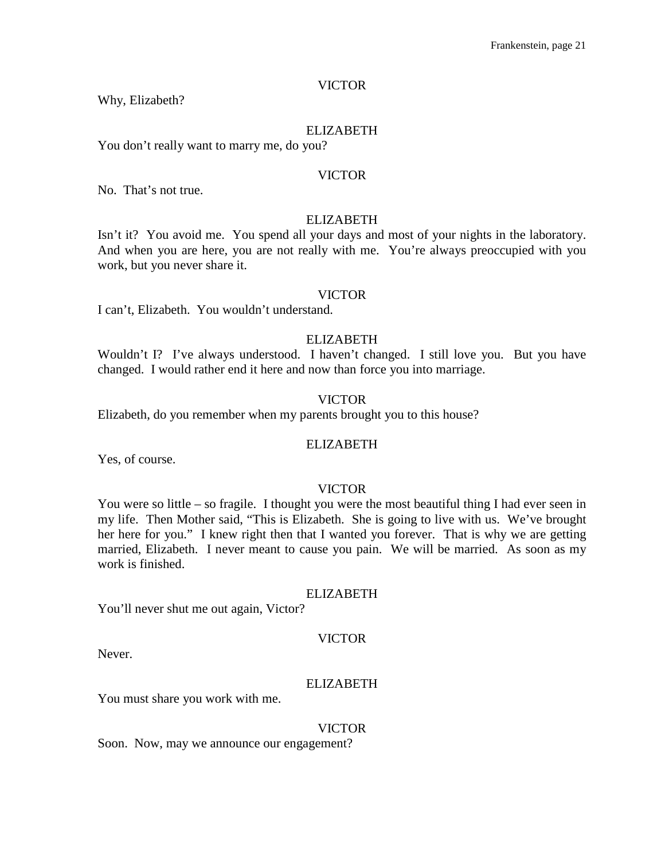Why, Elizabeth?

#### ELIZABETH

You don't really want to marry me, do you?

#### VICTOR

No. That's not true.

#### ELIZABETH

Isn't it? You avoid me. You spend all your days and most of your nights in the laboratory. And when you are here, you are not really with me. You're always preoccupied with you work, but you never share it.

#### VICTOR

I can't, Elizabeth. You wouldn't understand.

## ELIZABETH

Wouldn't I? I've always understood. I haven't changed. I still love you. But you have changed. I would rather end it here and now than force you into marriage.

#### VICTOR

Elizabeth, do you remember when my parents brought you to this house?

#### ELIZABETH

Yes, of course.

#### VICTOR

You were so little – so fragile. I thought you were the most beautiful thing I had ever seen in my life. Then Mother said, "This is Elizabeth. She is going to live with us. We've brought her here for you." I knew right then that I wanted you forever. That is why we are getting married, Elizabeth. I never meant to cause you pain. We will be married. As soon as my work is finished.

#### ELIZABETH

You'll never shut me out again, Victor?

#### VICTOR

Never.

#### ELIZABETH

You must share you work with me.

#### VICTOR

Soon. Now, may we announce our engagement?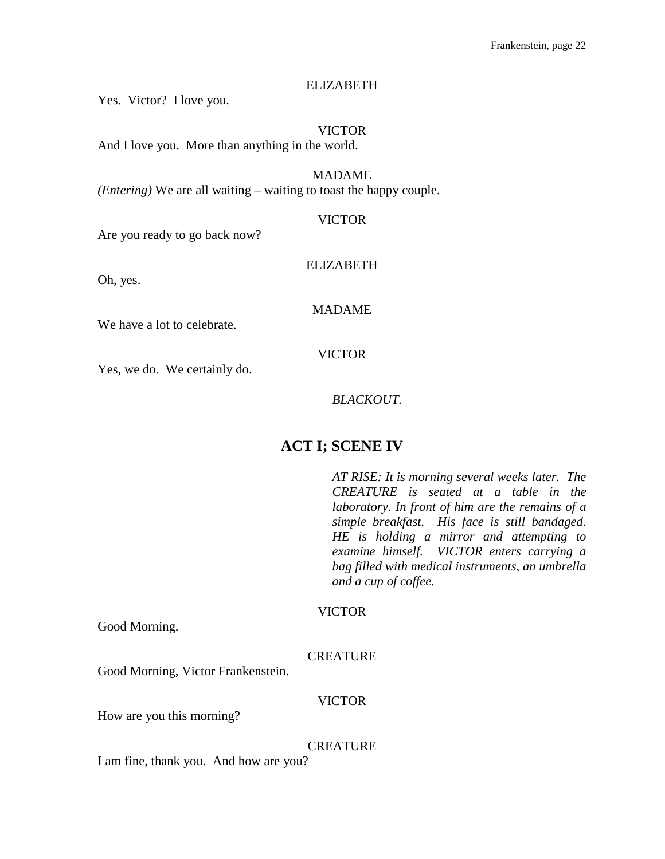## ELIZABETH

Yes. Victor? I love you.

VICTOR And I love you. More than anything in the world.

MADAME *(Entering)* We are all waiting – waiting to toast the happy couple.

## VICTOR

Are you ready to go back now?

## ELIZABETH

Oh, yes.

## MADAME

We have a lot to celebrate.

## VICTOR

Yes, we do. We certainly do.

## *BLACKOUT.*

# **ACT I; SCENE IV**

*AT RISE: It is morning several weeks later. The CREATURE is seated at a table in the laboratory. In front of him are the remains of a simple breakfast. His face is still bandaged. HE is holding a mirror and attempting to examine himself. VICTOR enters carrying a bag filled with medical instruments, an umbrella and a cup of coffee.* 

## VICTOR

Good Morning.

## **CREATURE**

Good Morning, Victor Frankenstein.

## VICTOR

How are you this morning?

## **CREATURE**

I am fine, thank you. And how are you?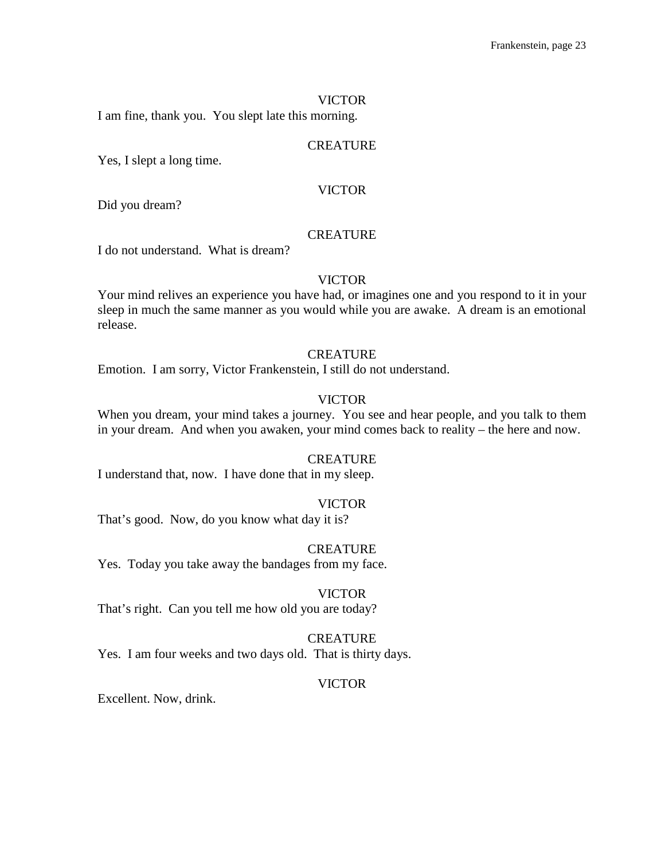I am fine, thank you. You slept late this morning.

#### **CREATURE**

Yes, I slept a long time.

#### VICTOR

Did you dream?

## **CREATURE**

I do not understand. What is dream?

#### VICTOR

Your mind relives an experience you have had, or imagines one and you respond to it in your sleep in much the same manner as you would while you are awake. A dream is an emotional release.

## **CREATURE**

Emotion. I am sorry, Victor Frankenstein, I still do not understand.

## VICTOR

When you dream, your mind takes a journey. You see and hear people, and you talk to them in your dream. And when you awaken, your mind comes back to reality – the here and now.

## **CREATURE**

I understand that, now. I have done that in my sleep.

#### VICTOR

That's good. Now, do you know what day it is?

#### **CREATURE**

Yes. Today you take away the bandages from my face.

#### VICTOR

That's right. Can you tell me how old you are today?

#### **CREATURE**

Yes. I am four weeks and two days old. That is thirty days.

#### VICTOR

Excellent. Now, drink.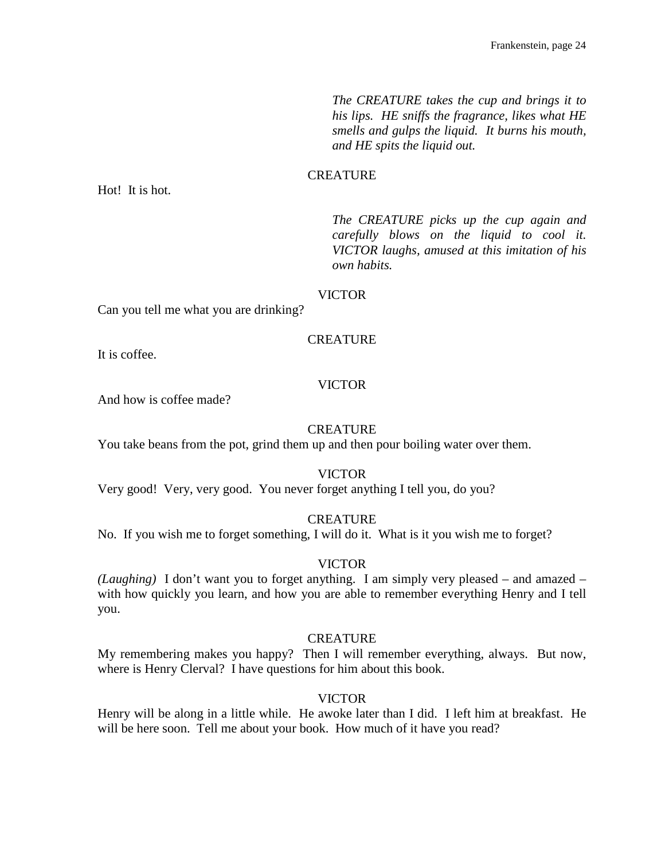*The CREATURE takes the cup and brings it to his lips. HE sniffs the fragrance, likes what HE smells and gulps the liquid. It burns his mouth, and HE spits the liquid out.*

## CREATURE

Hot! It is hot.

*The CREATURE picks up the cup again and carefully blows on the liquid to cool it. VICTOR laughs, amused at this imitation of his own habits.*

#### VICTOR

Can you tell me what you are drinking?

## **CREATURE**

It is coffee.

## VICTOR

And how is coffee made?

## **CREATURE**

You take beans from the pot, grind them up and then pour boiling water over them.

#### VICTOR

Very good! Very, very good. You never forget anything I tell you, do you?

## CREATURE

No. If you wish me to forget something, I will do it. What is it you wish me to forget?

#### VICTOR

*(Laughing)* I don't want you to forget anything. I am simply very pleased – and amazed – with how quickly you learn, and how you are able to remember everything Henry and I tell you.

#### CREATURE

My remembering makes you happy? Then I will remember everything, always. But now, where is Henry Clerval? I have questions for him about this book.

## VICTOR

Henry will be along in a little while. He awoke later than I did. I left him at breakfast. He will be here soon. Tell me about your book. How much of it have you read?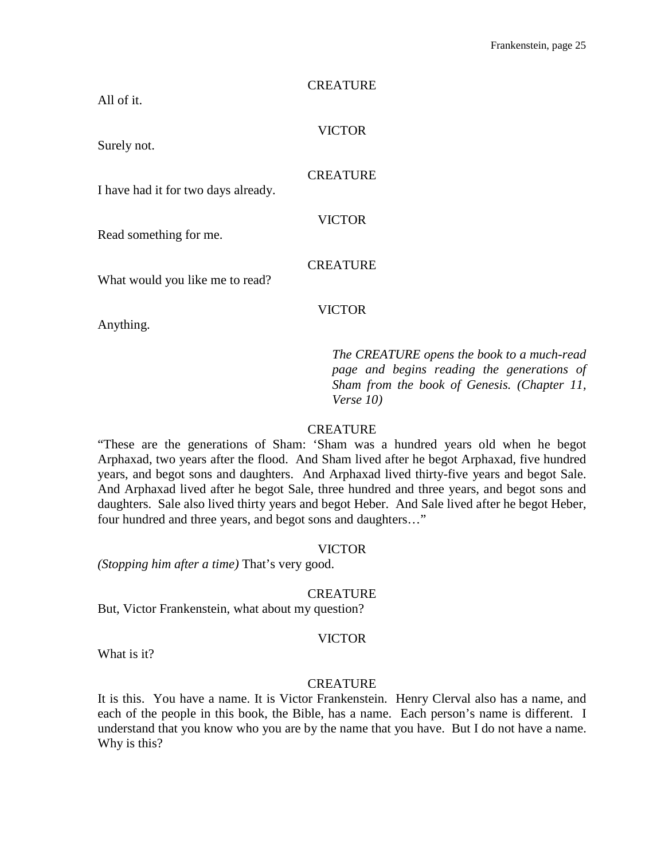| <b>CREATURE</b> |
|-----------------|
| <b>VICTOR</b>   |
| <b>CREATURE</b> |
| <b>VICTOR</b>   |
| <b>CREATURE</b> |
| <b>VICTOR</b>   |
|                 |

*The CREATURE opens the book to a much-read page and begins reading the generations of Sham from the book of Genesis. (Chapter 11, Verse 10)*

## **CREATURE**

"These are the generations of Sham: 'Sham was a hundred years old when he begot Arphaxad, two years after the flood. And Sham lived after he begot Arphaxad, five hundred years, and begot sons and daughters. And Arphaxad lived thirty-five years and begot Sale. And Arphaxad lived after he begot Sale, three hundred and three years, and begot sons and daughters. Sale also lived thirty years and begot Heber. And Sale lived after he begot Heber, four hundred and three years, and begot sons and daughters…"

## VICTOR

*(Stopping him after a time)* That's very good.

## CREATURE

But, Victor Frankenstein, what about my question?

#### VICTOR

What is it?

#### **CREATURE**

It is this. You have a name. It is Victor Frankenstein. Henry Clerval also has a name, and each of the people in this book, the Bible, has a name. Each person's name is different. I understand that you know who you are by the name that you have. But I do not have a name. Why is this?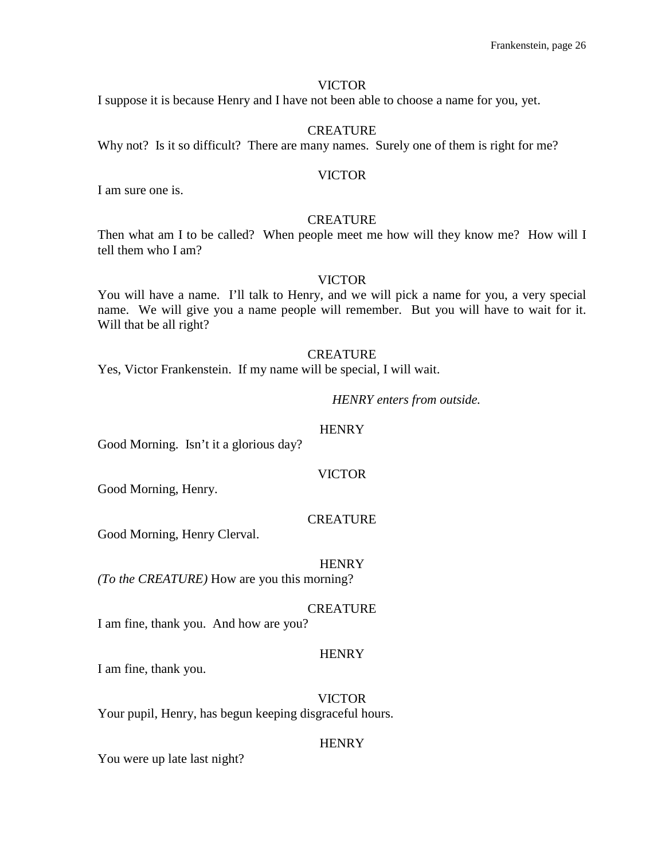I suppose it is because Henry and I have not been able to choose a name for you, yet.

#### CREATURE

Why not? Is it so difficult? There are many names. Surely one of them is right for me?

#### VICTOR

I am sure one is.

## **CREATURE**

Then what am I to be called? When people meet me how will they know me? How will I tell them who I am?

#### VICTOR

You will have a name. I'll talk to Henry, and we will pick a name for you, a very special name. We will give you a name people will remember. But you will have to wait for it. Will that be all right?

## **CREATURE**

Yes, Victor Frankenstein. If my name will be special, I will wait.

## *HENRY enters from outside.*

## **HENRY**

Good Morning. Isn't it a glorious day?

#### VICTOR

Good Morning, Henry.

## CREATURE

Good Morning, Henry Clerval.

## **HENRY**

*(To the CREATURE)* How are you this morning?

## **CREATURE**

I am fine, thank you. And how are you?

## **HENRY**

I am fine, thank you.

VICTOR Your pupil, Henry, has begun keeping disgraceful hours.

#### **HENRY**

You were up late last night?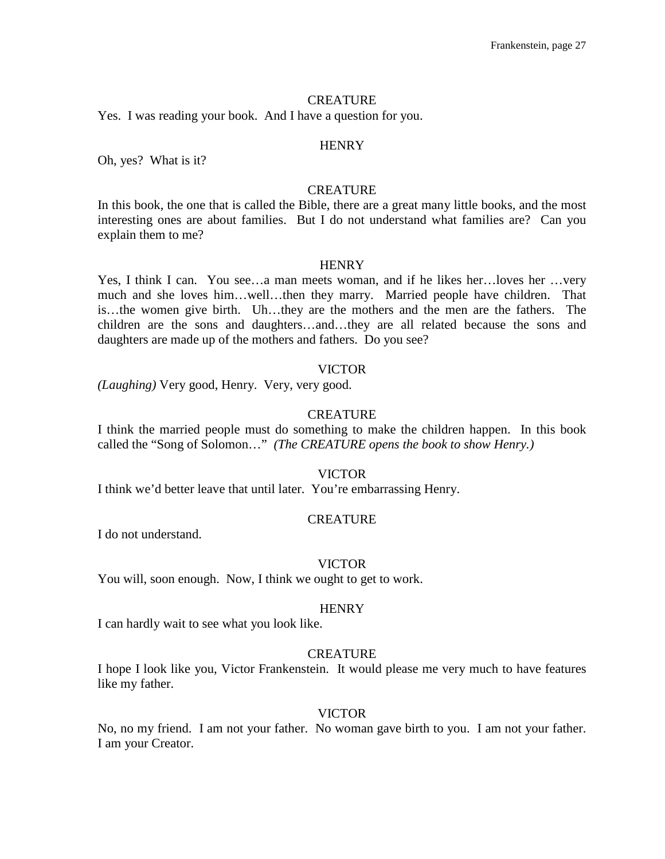#### **CREATURE**

Yes. I was reading your book. And I have a question for you.

#### **HENRY**

Oh, yes? What is it?

## **CREATURE**

In this book, the one that is called the Bible, there are a great many little books, and the most interesting ones are about families. But I do not understand what families are? Can you explain them to me?

#### **HENRY**

Yes, I think I can. You see…a man meets woman, and if he likes her…loves her …very much and she loves him…well…then they marry. Married people have children. That is…the women give birth. Uh…they are the mothers and the men are the fathers. The children are the sons and daughters…and…they are all related because the sons and daughters are made up of the mothers and fathers. Do you see?

#### VICTOR

*(Laughing)* Very good, Henry. Very, very good.

#### **CREATURE**

I think the married people must do something to make the children happen. In this book called the "Song of Solomon…" *(The CREATURE opens the book to show Henry.)*

#### VICTOR

I think we'd better leave that until later. You're embarrassing Henry.

#### **CREATURE**

I do not understand.

#### VICTOR

You will, soon enough. Now, I think we ought to get to work.

#### **HENRY**

I can hardly wait to see what you look like.

#### **CREATURE**

I hope I look like you, Victor Frankenstein. It would please me very much to have features like my father.

#### VICTOR

No, no my friend. I am not your father. No woman gave birth to you. I am not your father. I am your Creator.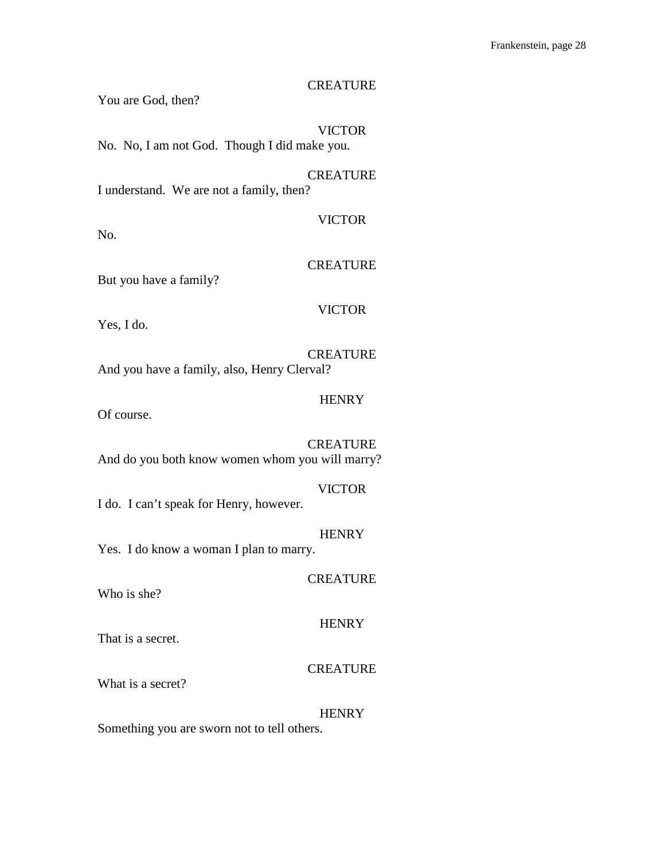## **CREATURE**

You are God, then?

VICTOR No. No, I am not God. Though I did make you.

CREATURE I understand. We are not a family, then?

No.

**CREATURE** 

VICTOR

But you have a family?

## VICTOR

Yes, I do.

**CREATURE** And you have a family, also, Henry Clerval?

**HENRY** 

Of course.

CREATURE And do you both know women whom you will marry?

## VICTOR

I do. I can't speak for Henry, however.

**HENRY** 

**CREATURE** 

Yes. I do know a woman I plan to marry.

Who is she?

## **HENRY**

That is a secret.

## **CREATURE**

What is a secret?

#### **HENRY**

Something you are sworn not to tell others.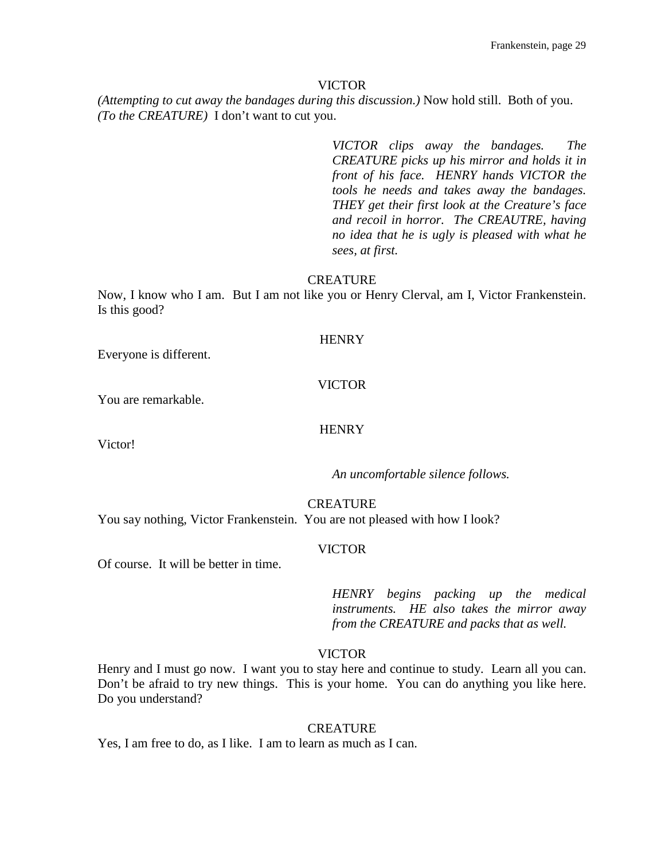*(Attempting to cut away the bandages during this discussion.)* Now hold still. Both of you. *(To the CREATURE)* I don't want to cut you.

> *VICTOR clips away the bandages. The CREATURE picks up his mirror and holds it in front of his face. HENRY hands VICTOR the tools he needs and takes away the bandages. THEY get their first look at the Creature's face and recoil in horror. The CREAUTRE, having no idea that he is ugly is pleased with what he sees, at first.*

## **CREATURE**

Now, I know who I am. But I am not like you or Henry Clerval, am I, Victor Frankenstein. Is this good?

## **HENRY**

Everyone is different.

## VICTOR

You are remarkable.

## **HENRY**

Victor!

*An uncomfortable silence follows.*

## **CREATURE**

You say nothing, Victor Frankenstein. You are not pleased with how I look?

## VICTOR

Of course. It will be better in time.

*HENRY begins packing up the medical instruments. HE also takes the mirror away from the CREATURE and packs that as well.*

## VICTOR

Henry and I must go now. I want you to stay here and continue to study. Learn all you can. Don't be afraid to try new things. This is your home. You can do anything you like here. Do you understand?

## **CREATURE**

Yes, I am free to do, as I like. I am to learn as much as I can.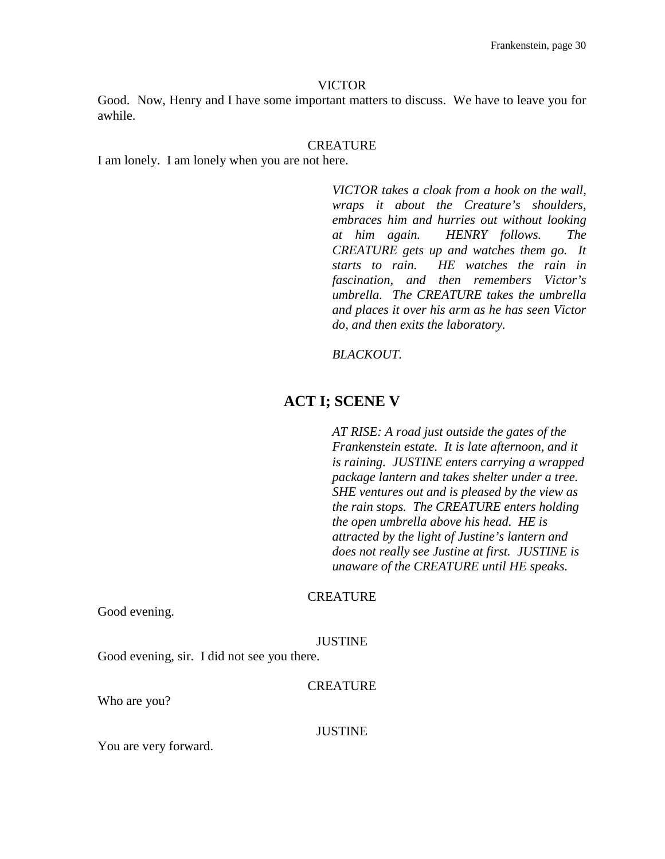Good. Now, Henry and I have some important matters to discuss. We have to leave you for awhile.

#### **CREATURE**

I am lonely. I am lonely when you are not here.

*VICTOR takes a cloak from a hook on the wall, wraps it about the Creature's shoulders, embraces him and hurries out without looking at him again. HENRY follows. The CREATURE gets up and watches them go. It starts to rain. HE watches the rain in fascination, and then remembers Victor's umbrella. The CREATURE takes the umbrella and places it over his arm as he has seen Victor do, and then exits the laboratory.*

#### *BLACKOUT.*

## **ACT I; SCENE V**

*AT RISE: A road just outside the gates of the Frankenstein estate. It is late afternoon, and it is raining. JUSTINE enters carrying a wrapped package lantern and takes shelter under a tree. SHE ventures out and is pleased by the view as the rain stops. The CREATURE enters holding the open umbrella above his head. HE is attracted by the light of Justine's lantern and does not really see Justine at first. JUSTINE is unaware of the CREATURE until HE speaks.*

#### **CREATURE**

Good evening.

#### JUSTINE

Good evening, sir. I did not see you there.

#### **CREATURE**

Who are you?

#### **JUSTINE**

You are very forward.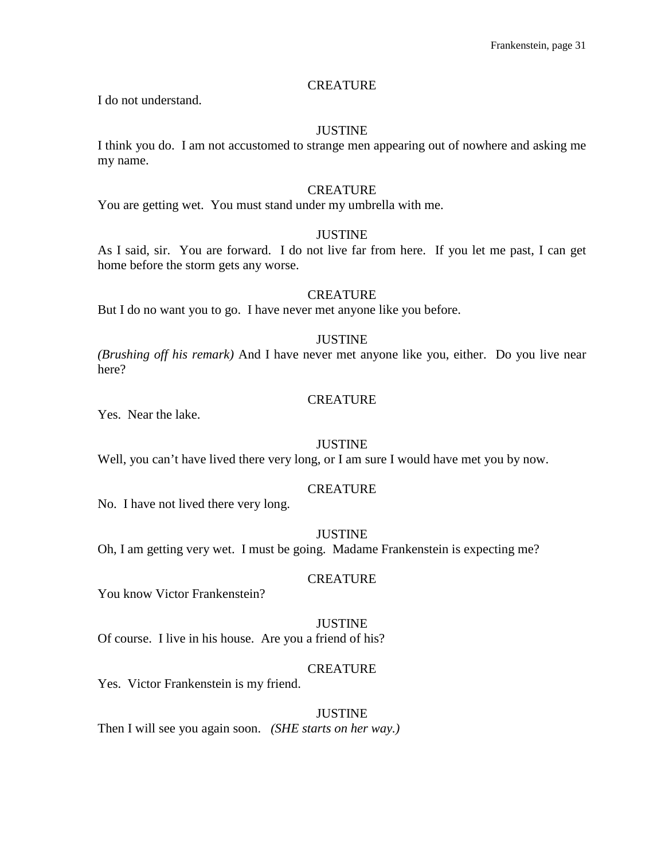## **CREATURE**

I do not understand.

#### JUSTINE

I think you do. I am not accustomed to strange men appearing out of nowhere and asking me my name.

#### **CREATURE**

You are getting wet. You must stand under my umbrella with me.

## JUSTINE

As I said, sir. You are forward. I do not live far from here. If you let me past, I can get home before the storm gets any worse.

#### **CREATURE**

But I do no want you to go. I have never met anyone like you before.

## JUSTINE

*(Brushing off his remark)* And I have never met anyone like you, either. Do you live near here?

#### **CREATURE**

Yes. Near the lake.

#### JUSTINE

Well, you can't have lived there very long, or I am sure I would have met you by now.

## CREATURE

No. I have not lived there very long.

#### JUSTINE

Oh, I am getting very wet. I must be going. Madame Frankenstein is expecting me?

#### **CREATURE**

You know Victor Frankenstein?

#### **JUSTINE**

Of course. I live in his house. Are you a friend of his?

## **CREATURE**

Yes. Victor Frankenstein is my friend.

#### **JUSTINE**

Then I will see you again soon. *(SHE starts on her way.)*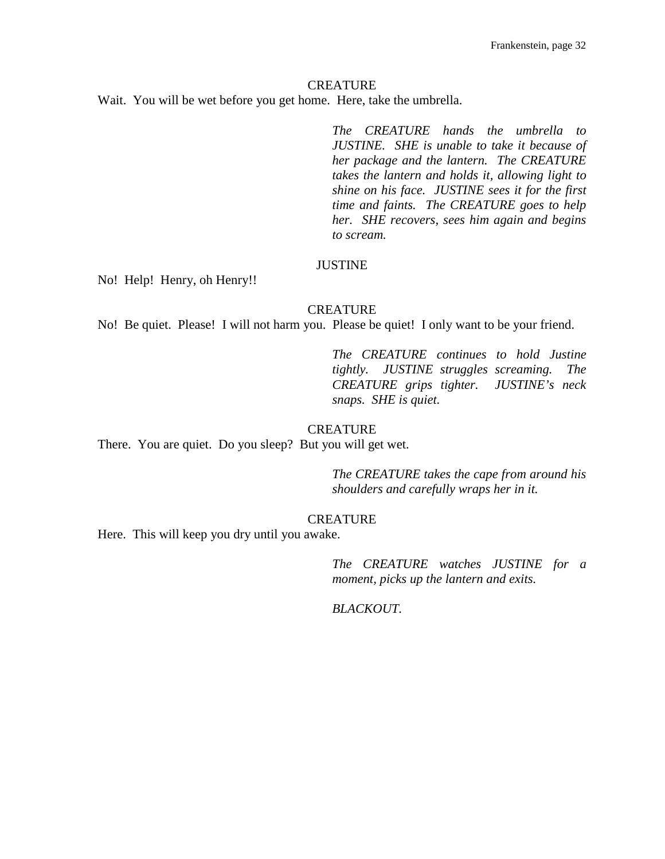#### **CREATURE**

Wait. You will be wet before you get home. Here, take the umbrella.

*The CREATURE hands the umbrella to JUSTINE. SHE is unable to take it because of her package and the lantern. The CREATURE takes the lantern and holds it, allowing light to shine on his face. JUSTINE sees it for the first time and faints. The CREATURE goes to help her. SHE recovers, sees him again and begins to scream.*

#### JUSTINE

No! Help! Henry, oh Henry!!

## **CREATURE**

No! Be quiet. Please! I will not harm you. Please be quiet! I only want to be your friend.

*The CREATURE continues to hold Justine tightly. JUSTINE struggles screaming. The CREATURE grips tighter. JUSTINE's neck snaps. SHE is quiet.*

## **CREATURE**

There. You are quiet. Do you sleep? But you will get wet.

*The CREATURE takes the cape from around his shoulders and carefully wraps her in it.* 

## CREATURE

Here. This will keep you dry until you awake.

*The CREATURE watches JUSTINE for a moment, picks up the lantern and exits.*

*BLACKOUT.*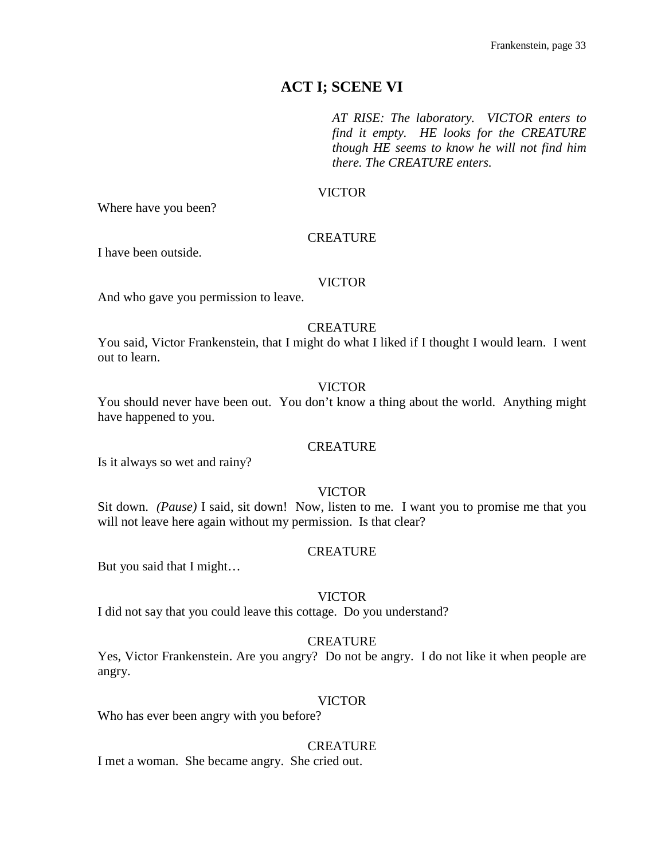# **ACT I; SCENE VI**

*AT RISE: The laboratory. VICTOR enters to find it empty. HE looks for the CREATURE though HE seems to know he will not find him there. The CREATURE enters.*

## VICTOR

Where have you been?

## **CREATURE**

I have been outside.

## VICTOR

And who gave you permission to leave.

## CREATURE

You said, Victor Frankenstein, that I might do what I liked if I thought I would learn. I went out to learn.

## VICTOR

You should never have been out. You don't know a thing about the world. Anything might have happened to you.

## **CREATURE**

Is it always so wet and rainy?

## VICTOR

Sit down. *(Pause)* I said, sit down! Now, listen to me. I want you to promise me that you will not leave here again without my permission. Is that clear?

## **CREATURE**

But you said that I might…

## VICTOR

I did not say that you could leave this cottage. Do you understand?

## **CREATURE**

Yes, Victor Frankenstein. Are you angry? Do not be angry. I do not like it when people are angry.

## VICTOR

Who has ever been angry with you before?

## **CREATURE**

I met a woman. She became angry. She cried out.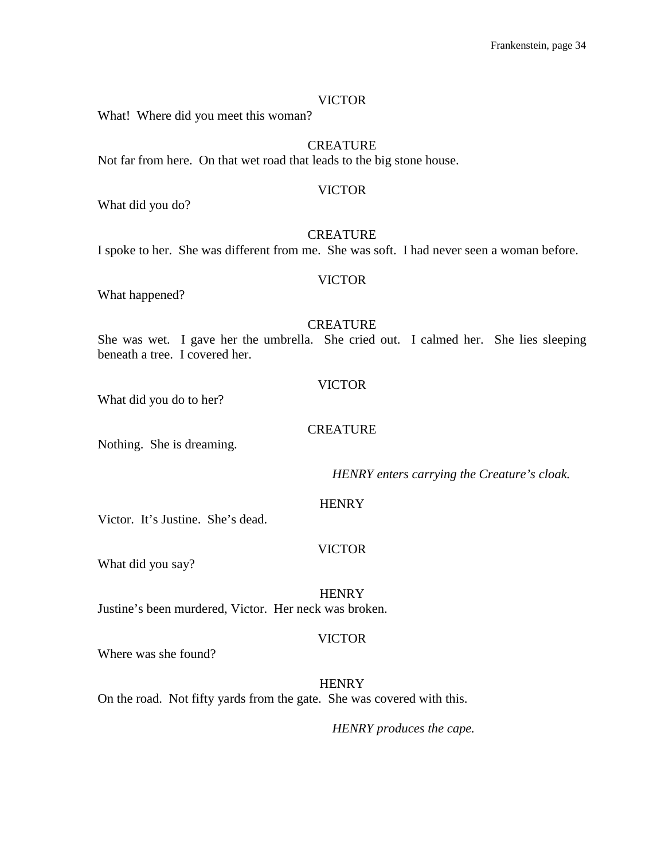What! Where did you meet this woman?

## **CREATURE**

Not far from here. On that wet road that leads to the big stone house.

#### VICTOR

What did you do?

## **CREATURE**

I spoke to her. She was different from me. She was soft. I had never seen a woman before.

#### VICTOR

What happened?

## **CREATURE**

She was wet. I gave her the umbrella. She cried out. I calmed her. She lies sleeping beneath a tree. I covered her.

#### VICTOR

What did you do to her?

## **CREATURE**

Nothing. She is dreaming.

*HENRY enters carrying the Creature's cloak.*

#### **HENRY**

Victor. It's Justine. She's dead.

## VICTOR

What did you say?

**HENRY** Justine's been murdered, Victor. Her neck was broken.

#### VICTOR

Where was she found?

**HENRY** On the road. Not fifty yards from the gate. She was covered with this.

*HENRY produces the cape.*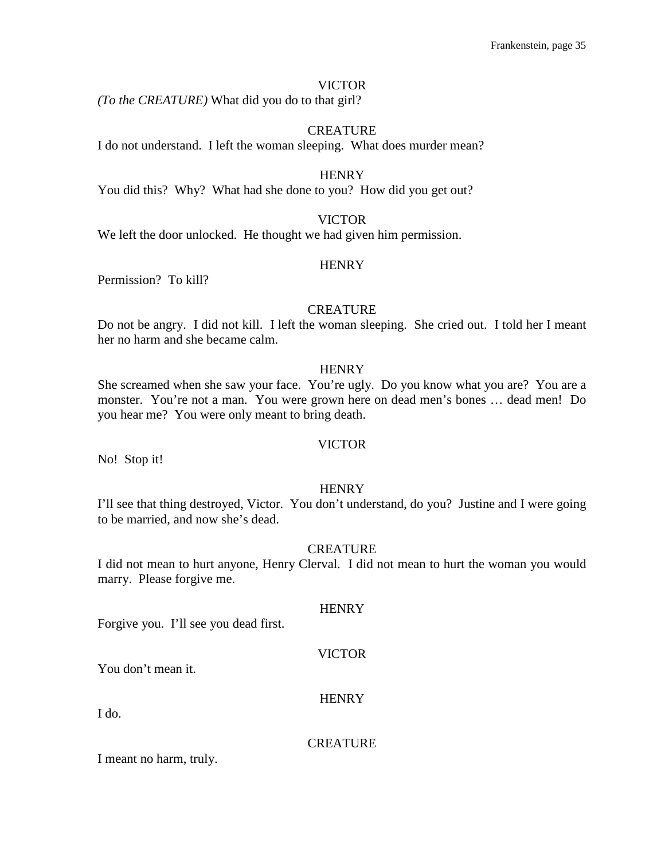*(To the CREATURE)* What did you do to that girl?

#### CREATURE

I do not understand. I left the woman sleeping. What does murder mean?

**HENRY** 

You did this? Why? What had she done to you? How did you get out?

#### VICTOR

We left the door unlocked. He thought we had given him permission.

#### **HENRY**

Permission? To kill?

## **CREATURE**

Do not be angry. I did not kill. I left the woman sleeping. She cried out. I told her I meant her no harm and she became calm.

## **HENRY**

She screamed when she saw your face. You're ugly. Do you know what you are? You are a monster. You're not a man. You were grown here on dead men's bones … dead men! Do you hear me? You were only meant to bring death.

#### VICTOR

No! Stop it!

## **HENRY**

I'll see that thing destroyed, Victor. You don't understand, do you? Justine and I were going to be married, and now she's dead.

## **CREATURE**

I did not mean to hurt anyone, Henry Clerval. I did not mean to hurt the woman you would marry. Please forgive me.

**HENRY** 

Forgive you. I'll see you dead first.

#### VICTOR

**HENRY** 

You don't mean it.

I do.

#### **CREATURE**

I meant no harm, truly.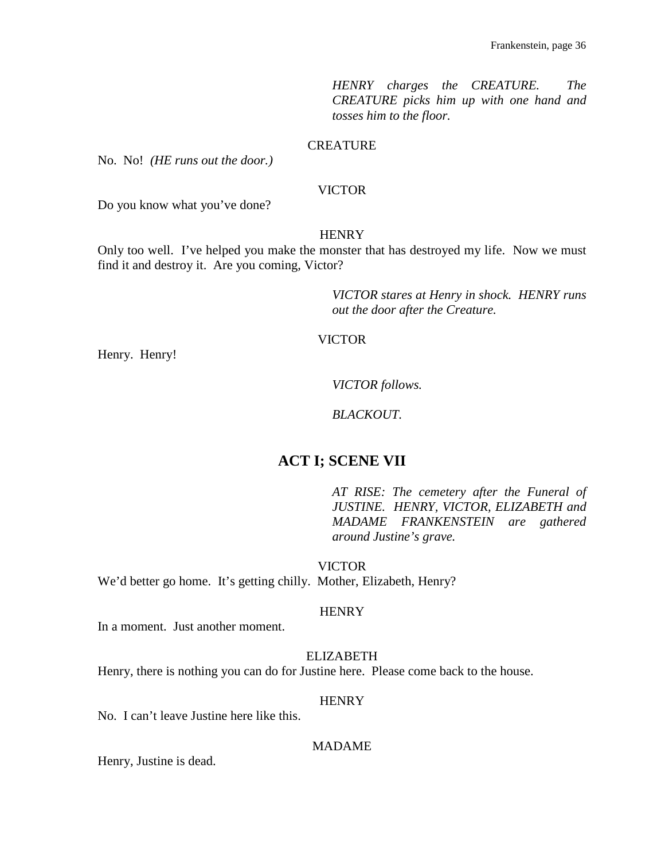*HENRY charges the CREATURE. The CREATURE picks him up with one hand and tosses him to the floor.*

## **CREATURE**

No. No! *(HE runs out the door.)*

#### VICTOR

Do you know what you've done?

#### **HENRY**

Only too well. I've helped you make the monster that has destroyed my life. Now we must find it and destroy it. Are you coming, Victor?

> *VICTOR stares at Henry in shock. HENRY runs out the door after the Creature.*

## VICTOR

Henry. Henry!

*VICTOR follows.*

*BLACKOUT.*

# **ACT I; SCENE VII**

*AT RISE: The cemetery after the Funeral of JUSTINE. HENRY, VICTOR, ELIZABETH and MADAME FRANKENSTEIN are gathered around Justine's grave.*

VICTOR

We'd better go home. It's getting chilly. Mother, Elizabeth, Henry?

## **HENRY**

In a moment. Just another moment.

ELIZABETH

Henry, there is nothing you can do for Justine here. Please come back to the house.

## **HENRY**

No. I can't leave Justine here like this.

## MADAME

Henry, Justine is dead.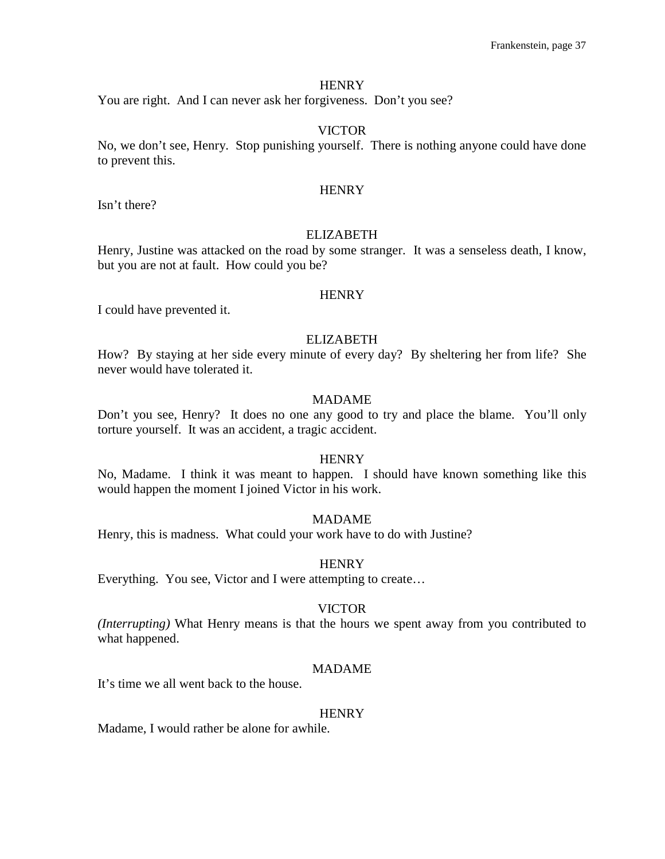You are right. And I can never ask her forgiveness. Don't you see?

## VICTOR

No, we don't see, Henry. Stop punishing yourself. There is nothing anyone could have done to prevent this.

#### **HENRY**

Isn't there?

#### ELIZABETH

Henry, Justine was attacked on the road by some stranger. It was a senseless death, I know, but you are not at fault. How could you be?

#### **HENRY**

I could have prevented it.

#### ELIZABETH

How? By staying at her side every minute of every day? By sheltering her from life? She never would have tolerated it.

## MADAME

Don't you see, Henry? It does no one any good to try and place the blame. You'll only torture yourself. It was an accident, a tragic accident.

## **HENRY**

No, Madame. I think it was meant to happen. I should have known something like this would happen the moment I joined Victor in his work.

## MADAME

Henry, this is madness. What could your work have to do with Justine?

#### **HENRY**

Everything. You see, Victor and I were attempting to create…

#### VICTOR

*(Interrupting)* What Henry means is that the hours we spent away from you contributed to what happened.

## MADAME

It's time we all went back to the house.

#### **HENRY**

Madame, I would rather be alone for awhile.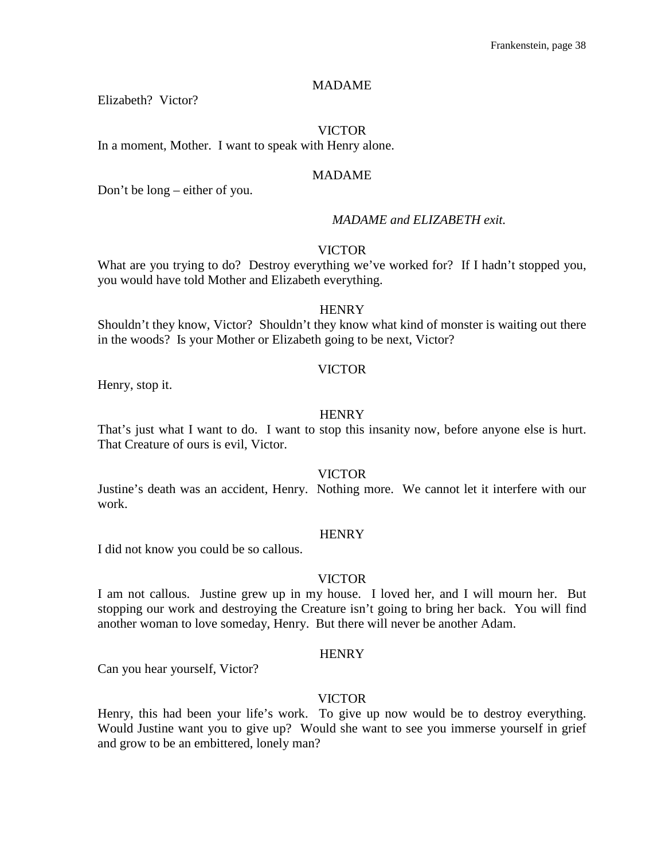## MADAME

Elizabeth? Victor?

#### VICTOR

In a moment, Mother. I want to speak with Henry alone.

#### MADAME

Don't be long – either of you.

## *MADAME and ELIZABETH exit.*

## VICTOR

What are you trying to do? Destroy everything we've worked for? If I hadn't stopped you, you would have told Mother and Elizabeth everything.

#### **HENRY**

Shouldn't they know, Victor? Shouldn't they know what kind of monster is waiting out there in the woods? Is your Mother or Elizabeth going to be next, Victor?

#### VICTOR

Henry, stop it.

#### **HENRY**

That's just what I want to do. I want to stop this insanity now, before anyone else is hurt. That Creature of ours is evil, Victor.

#### VICTOR

Justine's death was an accident, Henry. Nothing more. We cannot let it interfere with our work.

#### **HENRY**

I did not know you could be so callous.

## VICTOR

I am not callous. Justine grew up in my house. I loved her, and I will mourn her. But stopping our work and destroying the Creature isn't going to bring her back. You will find another woman to love someday, Henry. But there will never be another Adam.

#### **HENRY**

Can you hear yourself, Victor?

## VICTOR

Henry, this had been your life's work. To give up now would be to destroy everything. Would Justine want you to give up? Would she want to see you immerse yourself in grief and grow to be an embittered, lonely man?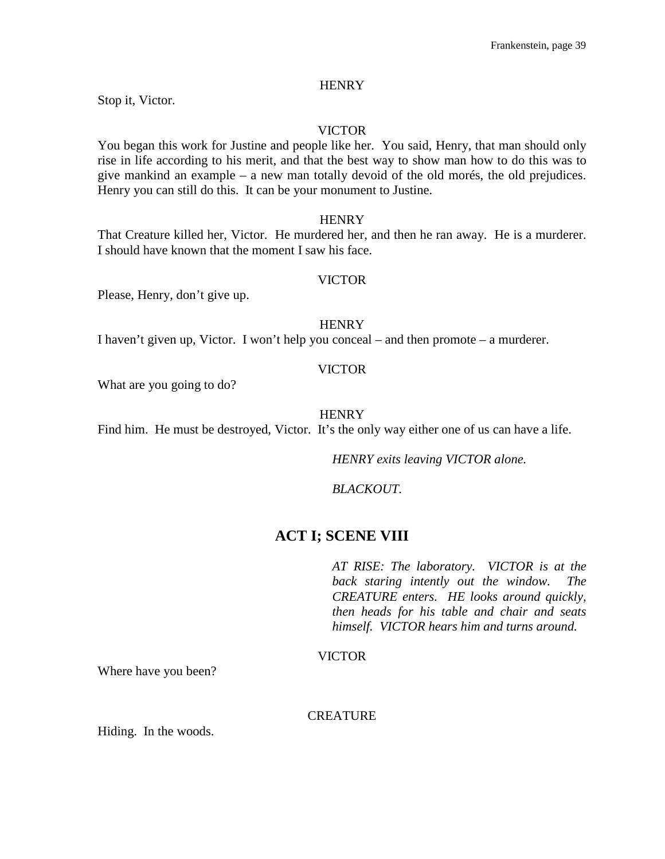Stop it, Victor.

## VICTOR

You began this work for Justine and people like her. You said, Henry, that man should only rise in life according to his merit, and that the best way to show man how to do this was to give mankind an example – a new man totally devoid of the old morés, the old prejudices. Henry you can still do this. It can be your monument to Justine.

#### **HENRY**

That Creature killed her, Victor. He murdered her, and then he ran away. He is a murderer. I should have known that the moment I saw his face.

#### VICTOR

Please, Henry, don't give up.

**HENRY** 

I haven't given up, Victor. I won't help you conceal – and then promote – a murderer.

#### VICTOR

What are you going to do?

## **HENRY**

Find him. He must be destroyed, Victor. It's the only way either one of us can have a life.

*HENRY exits leaving VICTOR alone.*

*BLACKOUT.*

## **ACT I; SCENE VIII**

*AT RISE: The laboratory. VICTOR is at the back staring intently out the window. The CREATURE enters. HE looks around quickly, then heads for his table and chair and seats himself. VICTOR hears him and turns around.*

VICTOR

Where have you been?

CREATURE

Hiding. In the woods.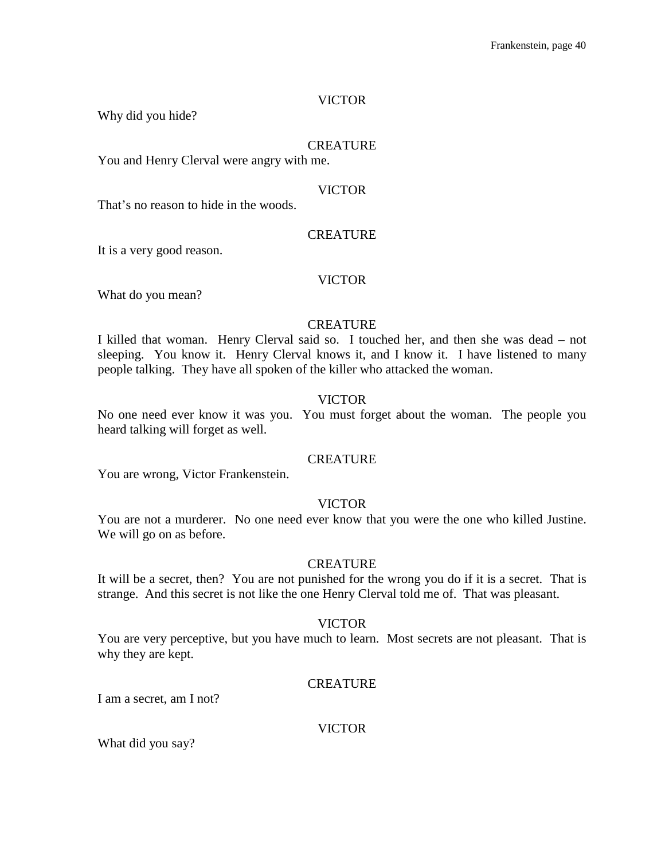Why did you hide?

## **CREATURE**

You and Henry Clerval were angry with me.

#### VICTOR

That's no reason to hide in the woods.

#### **CREATURE**

It is a very good reason.

#### VICTOR

What do you mean?

#### **CREATURE**

I killed that woman. Henry Clerval said so. I touched her, and then she was dead – not sleeping. You know it. Henry Clerval knows it, and I know it. I have listened to many people talking. They have all spoken of the killer who attacked the woman.

## VICTOR

No one need ever know it was you. You must forget about the woman. The people you heard talking will forget as well.

## **CREATURE**

You are wrong, Victor Frankenstein.

#### VICTOR

You are not a murderer. No one need ever know that you were the one who killed Justine. We will go on as before.

#### CREATURE

It will be a secret, then? You are not punished for the wrong you do if it is a secret. That is strange. And this secret is not like the one Henry Clerval told me of. That was pleasant.

## VICTOR

You are very perceptive, but you have much to learn. Most secrets are not pleasant. That is why they are kept.

#### **CREATURE**

I am a secret, am I not?

## VICTOR

What did you say?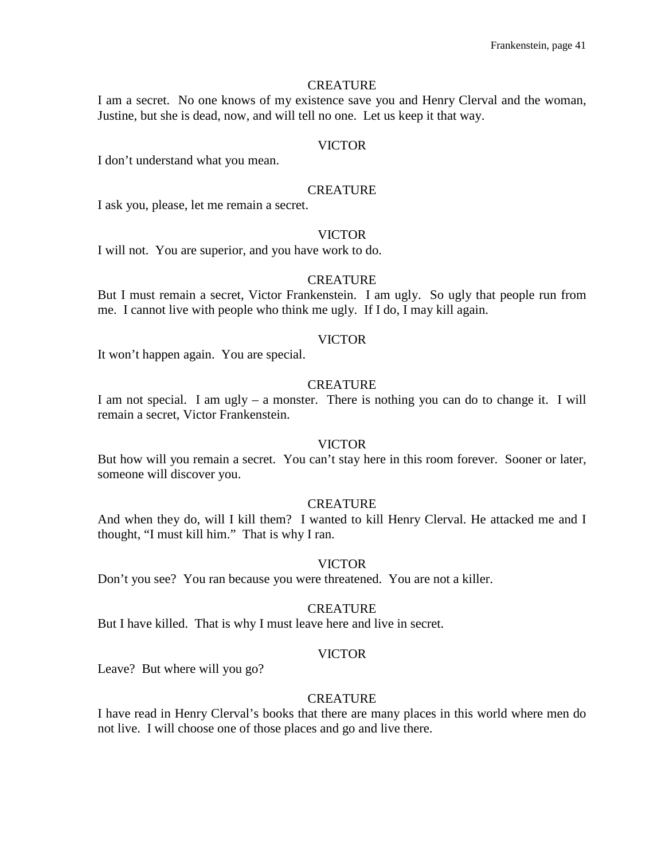#### **CREATURE**

I am a secret. No one knows of my existence save you and Henry Clerval and the woman, Justine, but she is dead, now, and will tell no one. Let us keep it that way.

## VICTOR

I don't understand what you mean.

#### **CREATURE**

I ask you, please, let me remain a secret.

## VICTOR

I will not. You are superior, and you have work to do.

#### **CREATURE**

But I must remain a secret, Victor Frankenstein. I am ugly. So ugly that people run from me. I cannot live with people who think me ugly. If I do, I may kill again.

## VICTOR

It won't happen again. You are special.

## **CREATURE**

I am not special. I am ugly – a monster. There is nothing you can do to change it. I will remain a secret, Victor Frankenstein.

#### VICTOR

But how will you remain a secret. You can't stay here in this room forever. Sooner or later, someone will discover you.

#### **CREATURE**

And when they do, will I kill them? I wanted to kill Henry Clerval. He attacked me and I thought, "I must kill him." That is why I ran.

#### VICTOR

Don't you see? You ran because you were threatened. You are not a killer.

#### **CREATURE**

But I have killed. That is why I must leave here and live in secret.

#### VICTOR

Leave? But where will you go?

## **CREATURE**

I have read in Henry Clerval's books that there are many places in this world where men do not live. I will choose one of those places and go and live there.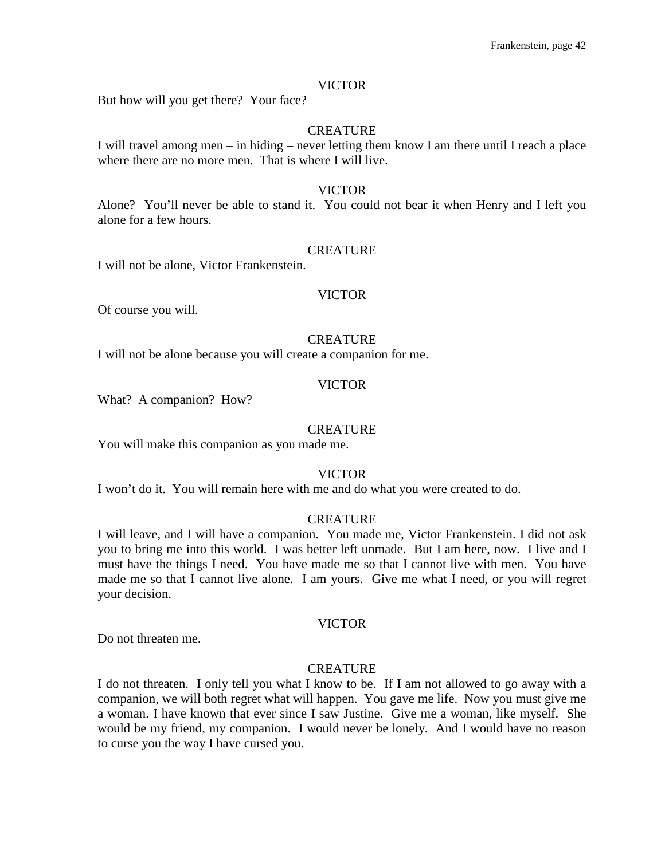But how will you get there? Your face?

## CREATURE

I will travel among men – in hiding – never letting them know I am there until I reach a place where there are no more men. That is where I will live.

#### VICTOR

Alone? You'll never be able to stand it. You could not bear it when Henry and I left you alone for a few hours.

#### CREATURE

I will not be alone, Victor Frankenstein.

#### VICTOR

Of course you will.

#### **CREATURE**

I will not be alone because you will create a companion for me.

#### VICTOR

What? A companion? How?

#### **CREATURE**

You will make this companion as you made me.

#### VICTOR

I won't do it. You will remain here with me and do what you were created to do.

#### **CREATURE**

I will leave, and I will have a companion. You made me, Victor Frankenstein. I did not ask you to bring me into this world. I was better left unmade. But I am here, now. I live and I must have the things I need. You have made me so that I cannot live with men. You have made me so that I cannot live alone. I am yours. Give me what I need, or you will regret your decision.

## VICTOR

Do not threaten me.

#### **CREATURE**

I do not threaten. I only tell you what I know to be. If I am not allowed to go away with a companion, we will both regret what will happen. You gave me life. Now you must give me a woman. I have known that ever since I saw Justine. Give me a woman, like myself. She would be my friend, my companion. I would never be lonely. And I would have no reason to curse you the way I have cursed you.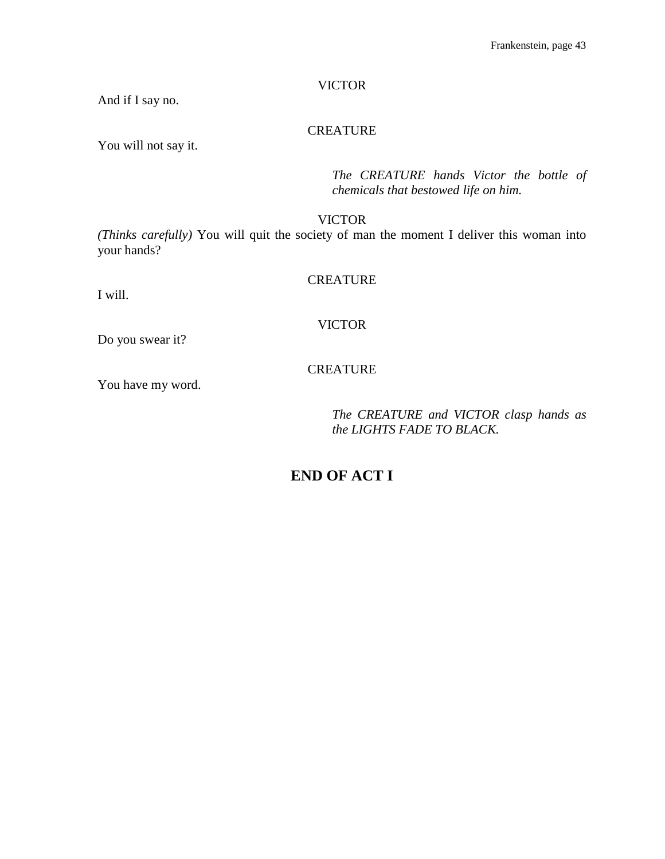And if I say no.

## **CREATURE**

You will not say it.

*The CREATURE hands Victor the bottle of chemicals that bestowed life on him.*

VICTOR

*(Thinks carefully)* You will quit the society of man the moment I deliver this woman into your hands?

## **CREATURE**

I will.

## VICTOR

Do you swear it?

## CREATURE

You have my word.

*The CREATURE and VICTOR clasp hands as the LIGHTS FADE TO BLACK.*

# **END OF ACT I**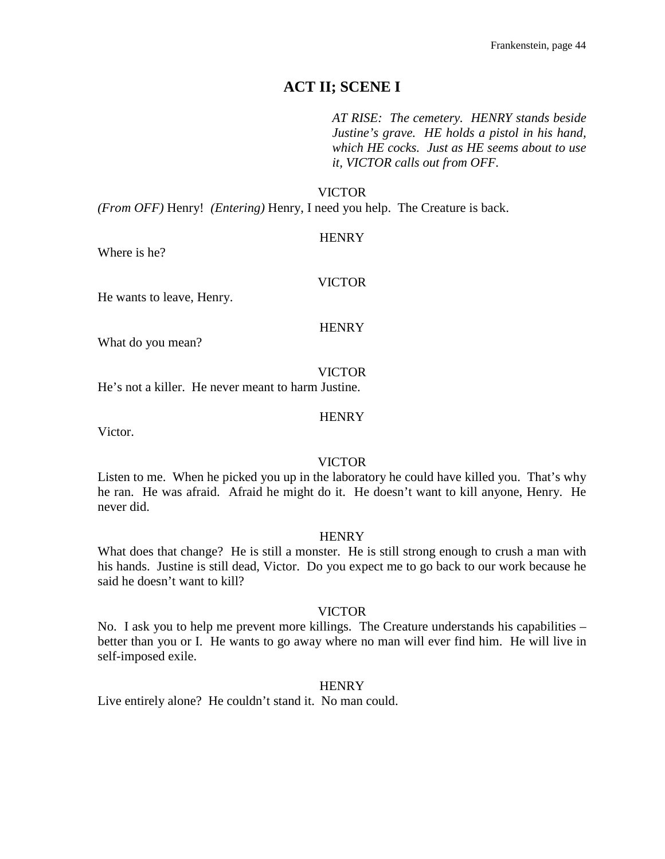## **ACT II; SCENE I**

*AT RISE: The cemetery. HENRY stands beside Justine's grave. HE holds a pistol in his hand, which HE cocks. Just as HE seems about to use it, VICTOR calls out from OFF.*

#### VICTOR

*(From OFF)* Henry! *(Entering)* Henry, I need you help. The Creature is back.

#### **HENRY**

Where is he?

## VICTOR

He wants to leave, Henry.

#### **HENRY**

What do you mean?

#### VICTOR

He's not a killer. He never meant to harm Justine.

#### **HENRY**

Victor.

#### VICTOR

Listen to me. When he picked you up in the laboratory he could have killed you. That's why he ran. He was afraid. Afraid he might do it. He doesn't want to kill anyone, Henry. He never did.

#### **HENRY**

What does that change? He is still a monster. He is still strong enough to crush a man with his hands. Justine is still dead, Victor. Do you expect me to go back to our work because he said he doesn't want to kill?

#### VICTOR

No. I ask you to help me prevent more killings. The Creature understands his capabilities – better than you or I. He wants to go away where no man will ever find him. He will live in self-imposed exile.

#### **HENRY**

Live entirely alone? He couldn't stand it. No man could.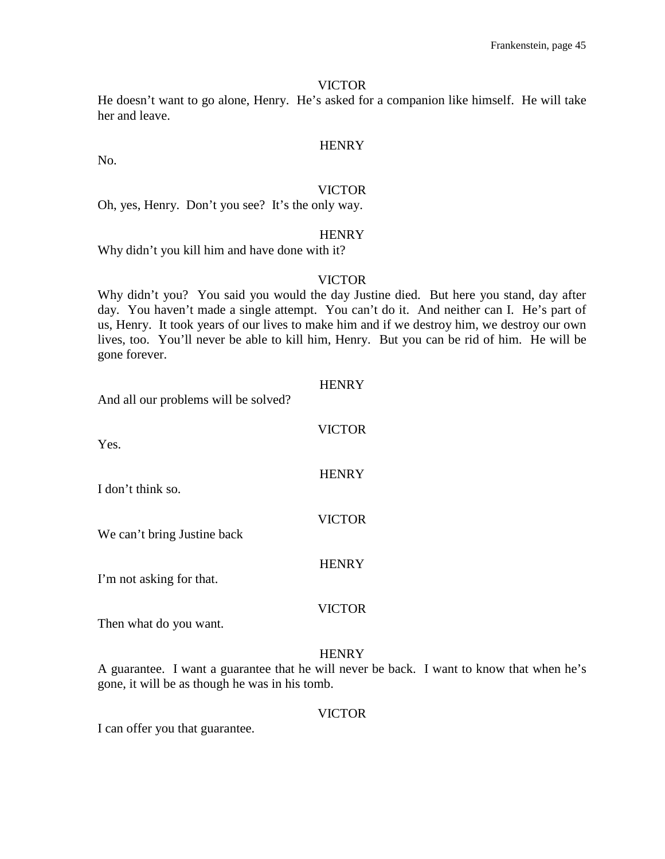He doesn't want to go alone, Henry. He's asked for a companion like himself. He will take her and leave.

**HENRY** 

# VICTOR

Oh, yes, Henry. Don't you see? It's the only way.

#### **HENRY**

Why didn't you kill him and have done with it?

No.

#### VICTOR

Why didn't you? You said you would the day Justine died. But here you stand, day after day. You haven't made a single attempt. You can't do it. And neither can I. He's part of us, Henry. It took years of our lives to make him and if we destroy him, we destroy our own lives, too. You'll never be able to kill him, Henry. But you can be rid of him. He will be gone forever.

| And all our problems will be solved? | <b>HENRY</b>  |
|--------------------------------------|---------------|
| Yes.                                 | <b>VICTOR</b> |
| I don't think so.                    | <b>HENRY</b>  |
| We can't bring Justine back          | <b>VICTOR</b> |
| I'm not asking for that.             | <b>HENRY</b>  |
| Then what do you want.               | <b>VICTOR</b> |
|                                      |               |

#### **HENRY**

A guarantee. I want a guarantee that he will never be back. I want to know that when he's gone, it will be as though he was in his tomb.

#### VICTOR

I can offer you that guarantee.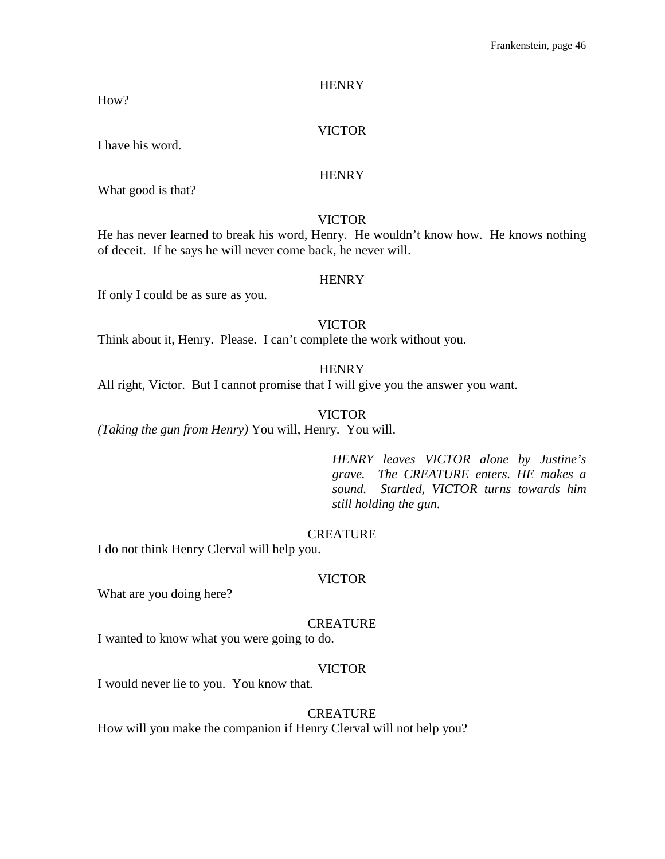How?

## VICTOR

I have his word.

## **HENRY**

What good is that?

## VICTOR

He has never learned to break his word, Henry. He wouldn't know how. He knows nothing of deceit. If he says he will never come back, he never will.

#### **HENRY**

If only I could be as sure as you.

## VICTOR

Think about it, Henry. Please. I can't complete the work without you.

**HENRY** 

All right, Victor. But I cannot promise that I will give you the answer you want.

#### VICTOR

*(Taking the gun from Henry)* You will, Henry. You will.

*HENRY leaves VICTOR alone by Justine's grave. The CREATURE enters. HE makes a sound. Startled, VICTOR turns towards him still holding the gun.*

## **CREATURE**

I do not think Henry Clerval will help you.

#### VICTOR

What are you doing here?

#### **CREATURE**

I wanted to know what you were going to do.

## VICTOR

I would never lie to you. You know that.

#### CREATURE

How will you make the companion if Henry Clerval will not help you?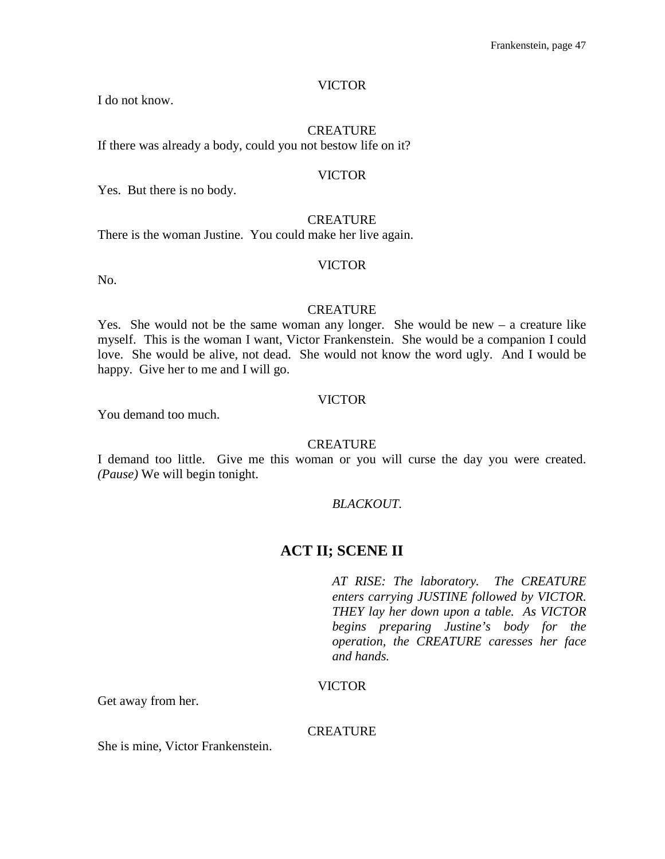I do not know.

## **CREATURE**

If there was already a body, could you not bestow life on it?

#### VICTOR

Yes. But there is no body.

## **CREATURE**

There is the woman Justine. You could make her live again.

#### VICTOR

No.

#### **CREATURE**

Yes. She would not be the same woman any longer. She would be new – a creature like myself. This is the woman I want, Victor Frankenstein. She would be a companion I could love. She would be alive, not dead. She would not know the word ugly. And I would be happy. Give her to me and I will go.

#### VICTOR

You demand too much.

#### CREATURE

I demand too little. Give me this woman or you will curse the day you were created. *(Pause)* We will begin tonight.

#### *BLACKOUT.*

# **ACT II; SCENE II**

*AT RISE: The laboratory. The CREATURE enters carrying JUSTINE followed by VICTOR. THEY lay her down upon a table. As VICTOR begins preparing Justine's body for the operation, the CREATURE caresses her face and hands.*

## VICTOR

Get away from her.

#### **CREATURE**

She is mine, Victor Frankenstein.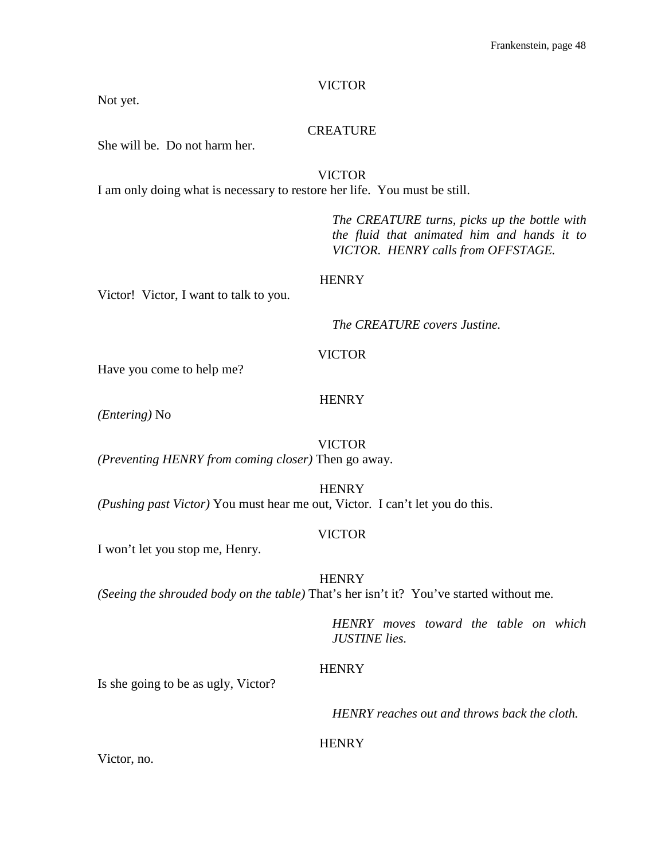Not yet.

## CREATURE

She will be. Do not harm her.

VICTOR I am only doing what is necessary to restore her life. You must be still.

> *The CREATURE turns, picks up the bottle with the fluid that animated him and hands it to VICTOR. HENRY calls from OFFSTAGE.*

#### **HENRY**

Victor! Victor, I want to talk to you.

*The CREATURE covers Justine.*

## VICTOR

Have you come to help me?

#### **HENRY**

*(Entering)* No

## VICTOR

*(Preventing HENRY from coming closer)* Then go away.

**HENRY** 

*(Pushing past Victor)* You must hear me out, Victor. I can't let you do this.

#### VICTOR

I won't let you stop me, Henry.

**HENRY** 

*(Seeing the shrouded body on the table)* That's her isn't it? You've started without me.

*HENRY moves toward the table on which JUSTINE lies.*

## **HENRY**

Is she going to be as ugly, Victor?

*HENRY reaches out and throws back the cloth.*

## **HENRY**

Victor, no.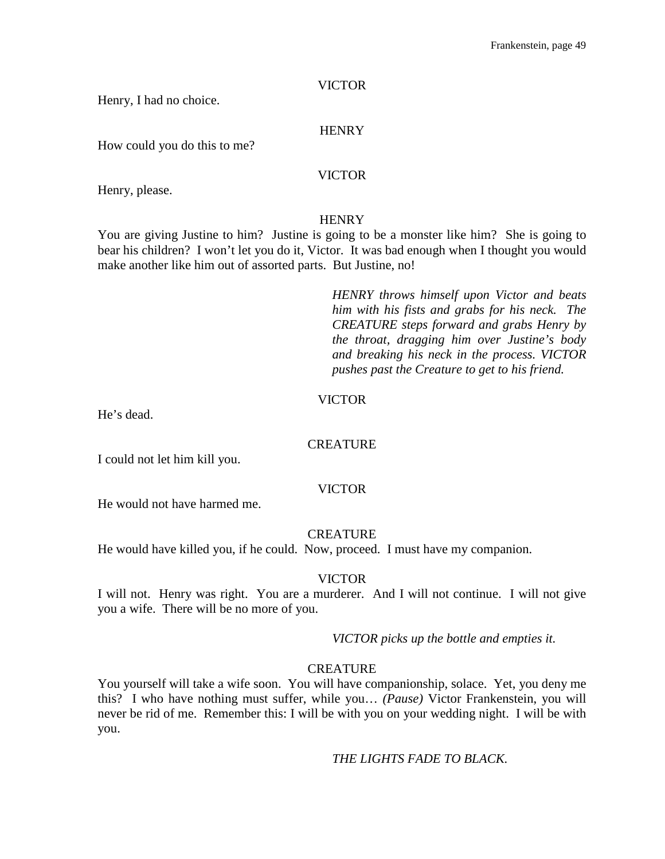Henry, I had no choice.

## **HENRY**

How could you do this to me?

## VICTOR

Henry, please.

## **HENRY**

You are giving Justine to him? Justine is going to be a monster like him? She is going to bear his children? I won't let you do it, Victor. It was bad enough when I thought you would make another like him out of assorted parts. But Justine, no!

> *HENRY throws himself upon Victor and beats him with his fists and grabs for his neck. The CREATURE steps forward and grabs Henry by the throat, dragging him over Justine's body and breaking his neck in the process. VICTOR pushes past the Creature to get to his friend.*

## VICTOR

He's dead.

## **CREATURE**

I could not let him kill you.

## VICTOR

He would not have harmed me.

## **CREATURE**

He would have killed you, if he could. Now, proceed. I must have my companion.

## VICTOR

I will not. Henry was right. You are a murderer. And I will not continue. I will not give you a wife. There will be no more of you.

*VICTOR picks up the bottle and empties it.*

## **CREATURE**

You yourself will take a wife soon. You will have companionship, solace. Yet, you deny me this? I who have nothing must suffer, while you… *(Pause)* Victor Frankenstein, you will never be rid of me. Remember this: I will be with you on your wedding night. I will be with you.

*THE LIGHTS FADE TO BLACK.*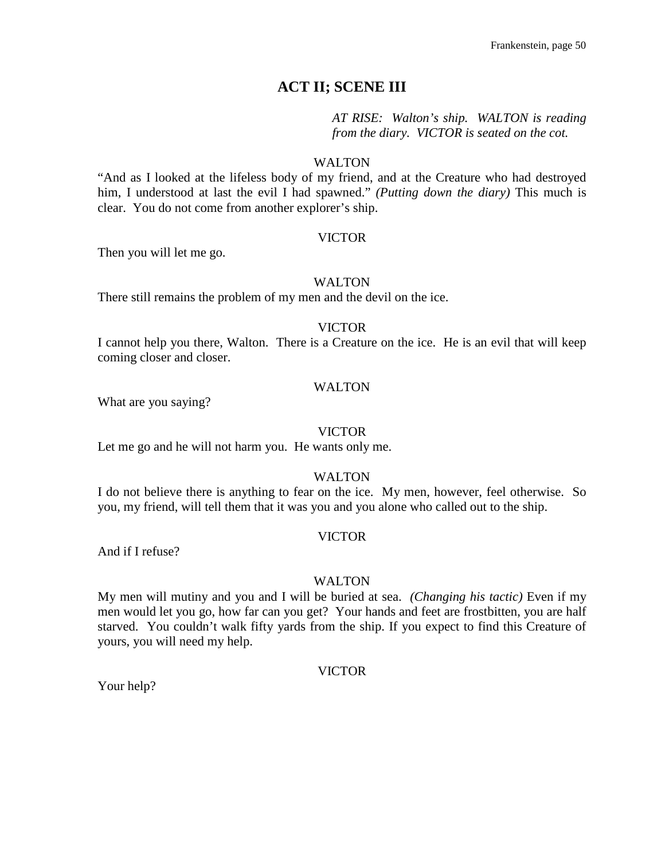# **ACT II; SCENE III**

*AT RISE: Walton's ship. WALTON is reading from the diary. VICTOR is seated on the cot.*

## WALTON

"And as I looked at the lifeless body of my friend, and at the Creature who had destroyed him, I understood at last the evil I had spawned." *(Putting down the diary)* This much is clear. You do not come from another explorer's ship.

## VICTOR

Then you will let me go.

## WALTON

There still remains the problem of my men and the devil on the ice.

## VICTOR

I cannot help you there, Walton. There is a Creature on the ice. He is an evil that will keep coming closer and closer.

## WALTON

What are you saying?

## VICTOR

Let me go and he will not harm you. He wants only me.

## WALTON

I do not believe there is anything to fear on the ice. My men, however, feel otherwise. So you, my friend, will tell them that it was you and you alone who called out to the ship.

## VICTOR

And if I refuse?

#### WALTON

My men will mutiny and you and I will be buried at sea. *(Changing his tactic)* Even if my men would let you go, how far can you get? Your hands and feet are frostbitten, you are half starved. You couldn't walk fifty yards from the ship. If you expect to find this Creature of yours, you will need my help.

## VICTOR

Your help?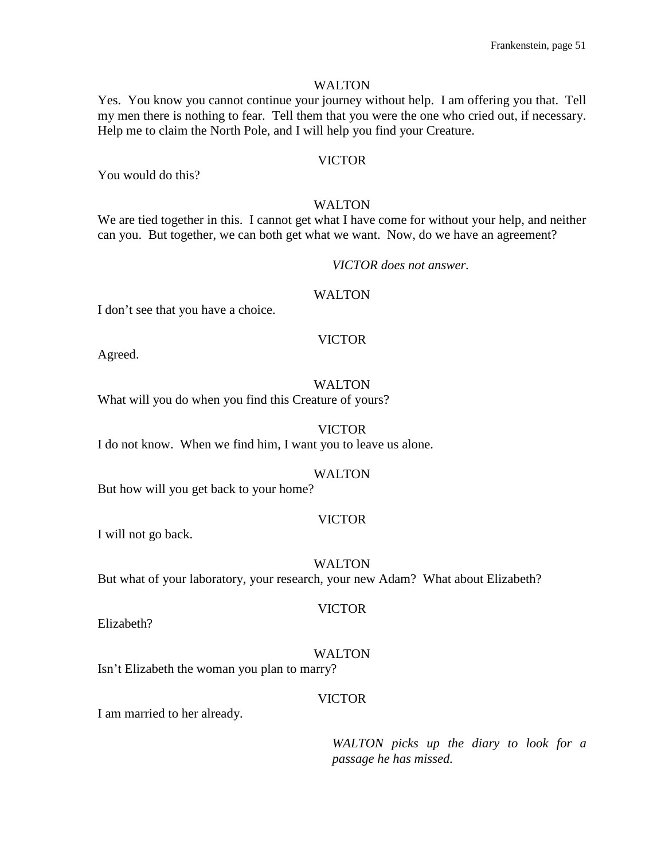#### WALTON

Yes. You know you cannot continue your journey without help. I am offering you that. Tell my men there is nothing to fear. Tell them that you were the one who cried out, if necessary. Help me to claim the North Pole, and I will help you find your Creature.

#### VICTOR

You would do this?

## WALTON

We are tied together in this. I cannot get what I have come for without your help, and neither can you. But together, we can both get what we want. Now, do we have an agreement?

#### *VICTOR does not answer.*

#### WALTON

I don't see that you have a choice.

## VICTOR

Agreed.

## WALTON

What will you do when you find this Creature of yours?

#### VICTOR

I do not know. When we find him, I want you to leave us alone.

#### WALTON

But how will you get back to your home?

## VICTOR

I will not go back.

#### WALTON

But what of your laboratory, your research, your new Adam? What about Elizabeth?

Elizabeth?

# WALTON

VICTOR

Isn't Elizabeth the woman you plan to marry?

## VICTOR

I am married to her already.

*WALTON picks up the diary to look for a passage he has missed.*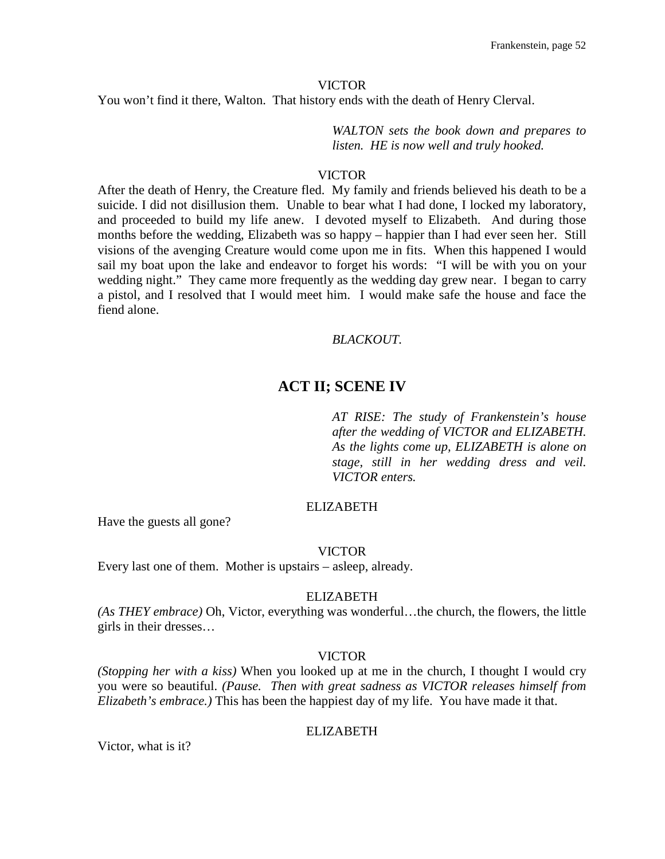You won't find it there, Walton. That history ends with the death of Henry Clerval.

*WALTON sets the book down and prepares to listen. HE is now well and truly hooked.*

#### VICTOR

After the death of Henry, the Creature fled. My family and friends believed his death to be a suicide. I did not disillusion them. Unable to bear what I had done, I locked my laboratory, and proceeded to build my life anew. I devoted myself to Elizabeth. And during those months before the wedding, Elizabeth was so happy – happier than I had ever seen her. Still visions of the avenging Creature would come upon me in fits. When this happened I would sail my boat upon the lake and endeavor to forget his words: "I will be with you on your wedding night." They came more frequently as the wedding day grew near. I began to carry a pistol, and I resolved that I would meet him. I would make safe the house and face the fiend alone.

## *BLACKOUT.*

## **ACT II; SCENE IV**

*AT RISE: The study of Frankenstein's house after the wedding of VICTOR and ELIZABETH. As the lights come up, ELIZABETH is alone on stage, still in her wedding dress and veil. VICTOR enters.*

## ELIZABETH

Have the guests all gone?

#### VICTOR

Every last one of them. Mother is upstairs – asleep, already.

#### ELIZABETH

*(As THEY embrace)* Oh, Victor, everything was wonderful…the church, the flowers, the little girls in their dresses…

#### VICTOR

*(Stopping her with a kiss)* When you looked up at me in the church, I thought I would cry you were so beautiful. *(Pause. Then with great sadness as VICTOR releases himself from Elizabeth's embrace.)* This has been the happiest day of my life. You have made it that.

#### ELIZABETH

Victor, what is it?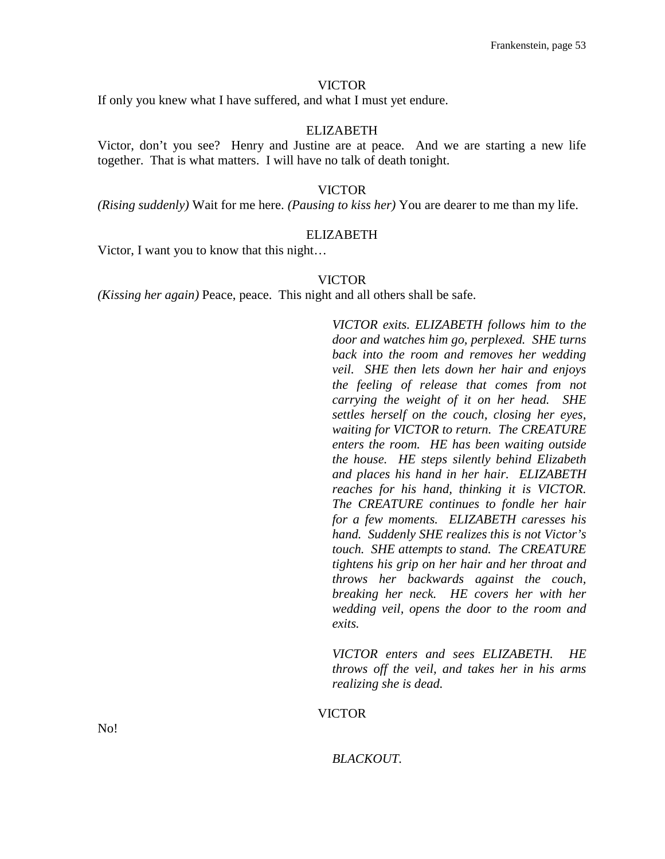If only you knew what I have suffered, and what I must yet endure.

#### ELIZABETH

Victor, don't you see? Henry and Justine are at peace. And we are starting a new life together. That is what matters. I will have no talk of death tonight.

## VICTOR

*(Rising suddenly)* Wait for me here. *(Pausing to kiss her)* You are dearer to me than my life.

#### ELIZABETH

Victor, I want you to know that this night…

## VICTOR

*(Kissing her again)* Peace, peace. This night and all others shall be safe.

*VICTOR exits. ELIZABETH follows him to the door and watches him go, perplexed. SHE turns back into the room and removes her wedding veil. SHE then lets down her hair and enjoys the feeling of release that comes from not carrying the weight of it on her head. SHE settles herself on the couch, closing her eyes, waiting for VICTOR to return. The CREATURE enters the room. HE has been waiting outside the house. HE steps silently behind Elizabeth and places his hand in her hair. ELIZABETH reaches for his hand, thinking it is VICTOR. The CREATURE continues to fondle her hair for a few moments. ELIZABETH caresses his hand. Suddenly SHE realizes this is not Victor's touch. SHE attempts to stand. The CREATURE tightens his grip on her hair and her throat and throws her backwards against the couch, breaking her neck. HE covers her with her wedding veil, opens the door to the room and exits.*

*VICTOR enters and sees ELIZABETH. HE throws off the veil, and takes her in his arms realizing she is dead.*

#### VICTOR

No!

*BLACKOUT.*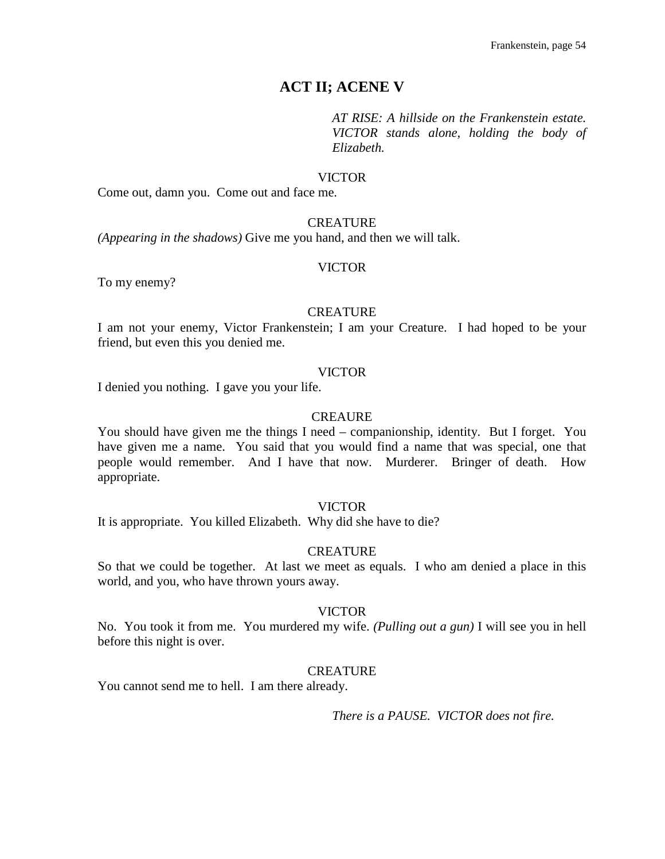# **ACT II; ACENE V**

*AT RISE: A hillside on the Frankenstein estate. VICTOR stands alone, holding the body of Elizabeth.*

#### VICTOR

Come out, damn you. Come out and face me.

#### **CREATURE**

*(Appearing in the shadows)* Give me you hand, and then we will talk.

#### VICTOR

To my enemy?

#### **CREATURE**

I am not your enemy, Victor Frankenstein; I am your Creature. I had hoped to be your friend, but even this you denied me.

#### VICTOR

I denied you nothing. I gave you your life.

#### **CREAURE**

You should have given me the things I need – companionship, identity. But I forget. You have given me a name. You said that you would find a name that was special, one that people would remember. And I have that now. Murderer. Bringer of death. How appropriate.

## VICTOR

It is appropriate. You killed Elizabeth. Why did she have to die?

## **CREATURE**

So that we could be together. At last we meet as equals. I who am denied a place in this world, and you, who have thrown yours away.

#### VICTOR

No. You took it from me. You murdered my wife. *(Pulling out a gun)* I will see you in hell before this night is over.

## **CREATURE**

You cannot send me to hell. I am there already.

*There is a PAUSE. VICTOR does not fire.*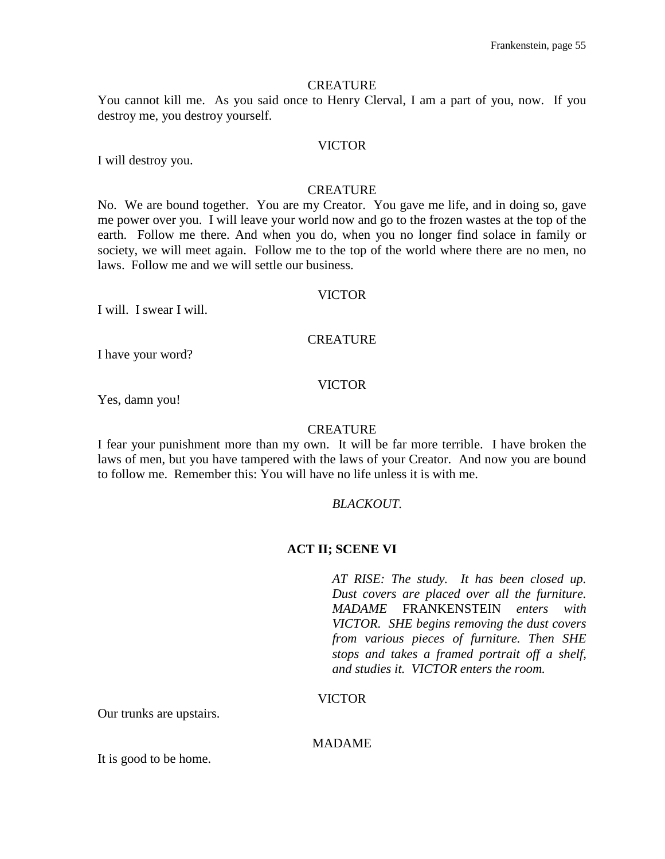#### **CREATURE**

You cannot kill me. As you said once to Henry Clerval, I am a part of you, now. If you destroy me, you destroy yourself.

## VICTOR

I will destroy you.

#### **CREATURE**

No. We are bound together. You are my Creator. You gave me life, and in doing so, gave me power over you. I will leave your world now and go to the frozen wastes at the top of the earth. Follow me there. And when you do, when you no longer find solace in family or society, we will meet again. Follow me to the top of the world where there are no men, no laws. Follow me and we will settle our business.

#### VICTOR

I will. I swear I will.

## **CREATURE**

I have your word?

#### VICTOR

Yes, damn you!

#### **CREATURE**

I fear your punishment more than my own. It will be far more terrible. I have broken the laws of men, but you have tampered with the laws of your Creator. And now you are bound to follow me. Remember this: You will have no life unless it is with me.

#### *BLACKOUT.*

#### **ACT II; SCENE VI**

*AT RISE: The study. It has been closed up. Dust covers are placed over all the furniture. MADAME* FRANKENSTEIN *enters with VICTOR. SHE begins removing the dust covers from various pieces of furniture. Then SHE stops and takes a framed portrait off a shelf, and studies it. VICTOR enters the room.*

## VICTOR

Our trunks are upstairs.

## MADAME

It is good to be home.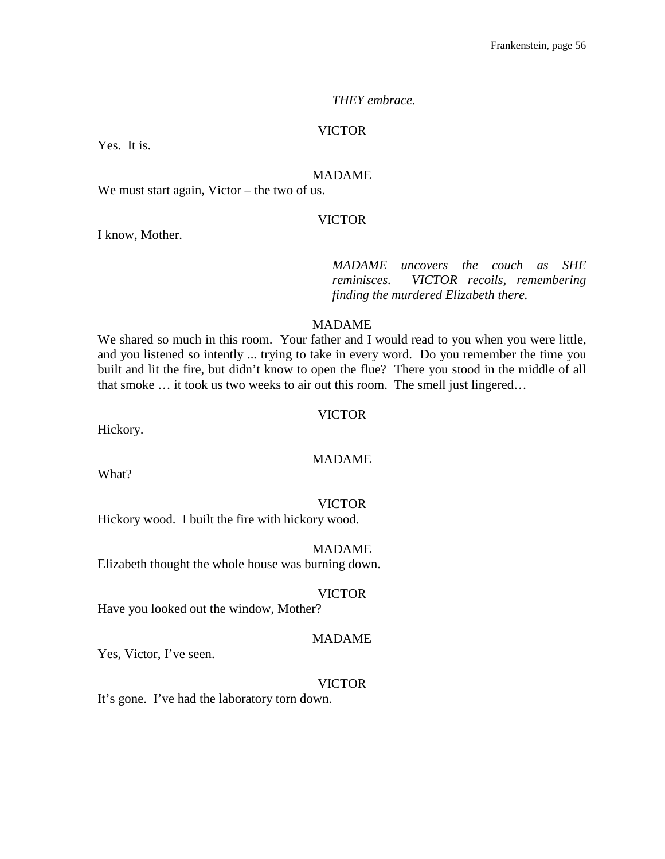#### *THEY embrace.*

#### VICTOR

Yes. It is.

## MADAME

We must start again, Victor – the two of us.

#### VICTOR

I know, Mother.

*MADAME uncovers the couch as SHE reminisces. VICTOR recoils, remembering finding the murdered Elizabeth there.*

#### MADAME

We shared so much in this room. Your father and I would read to you when you were little, and you listened so intently ... trying to take in every word. Do you remember the time you built and lit the fire, but didn't know to open the flue? There you stood in the middle of all that smoke … it took us two weeks to air out this room. The smell just lingered…

#### VICTOR

Hickory.

## MADAME

What?

#### VICTOR

Hickory wood. I built the fire with hickory wood.

#### MADAME

Elizabeth thought the whole house was burning down.

#### VICTOR

Have you looked out the window, Mother?

#### MADAME

Yes, Victor, I've seen.

#### VICTOR

It's gone. I've had the laboratory torn down.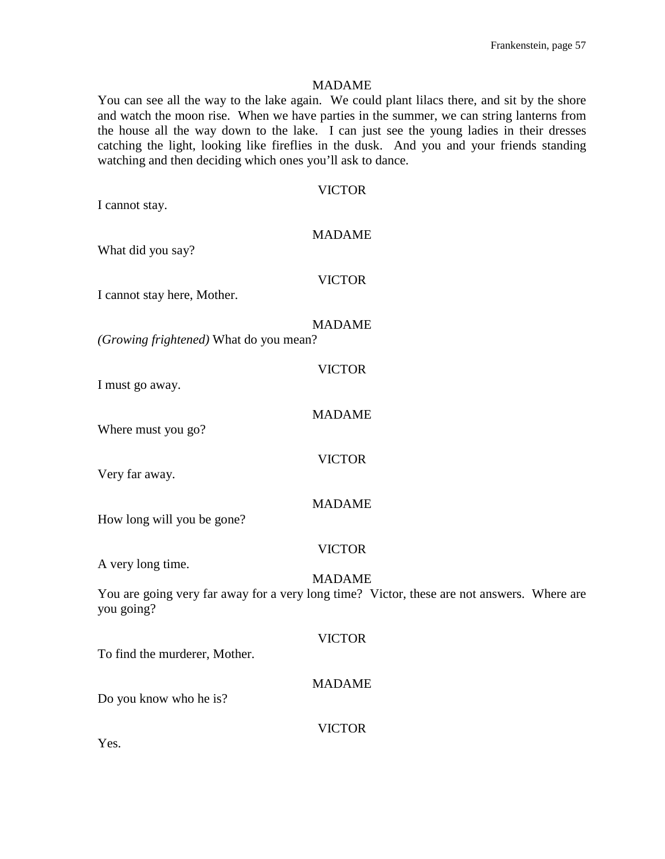#### MADAME

You can see all the way to the lake again. We could plant lilacs there, and sit by the shore and watch the moon rise. When we have parties in the summer, we can string lanterns from the house all the way down to the lake. I can just see the young ladies in their dresses catching the light, looking like fireflies in the dusk. And you and your friends standing watching and then deciding which ones you'll ask to dance.

| <b>VICTOR</b>                                                                                            |
|----------------------------------------------------------------------------------------------------------|
| I cannot stay.                                                                                           |
| <b>MADAME</b>                                                                                            |
| What did you say?                                                                                        |
|                                                                                                          |
| <b>VICTOR</b><br>I cannot stay here, Mother.                                                             |
|                                                                                                          |
| <b>MADAME</b>                                                                                            |
| (Growing frightened) What do you mean?                                                                   |
| <b>VICTOR</b>                                                                                            |
| I must go away.                                                                                          |
|                                                                                                          |
| <b>MADAME</b><br>Where must you go?                                                                      |
|                                                                                                          |
| <b>VICTOR</b>                                                                                            |
| Very far away.                                                                                           |
| <b>MADAME</b>                                                                                            |
| How long will you be gone?                                                                               |
| <b>VICTOR</b>                                                                                            |
| A very long time.                                                                                        |
| <b>MADAME</b>                                                                                            |
| You are going very far away for a very long time? Victor, these are not answers. Where are<br>you going? |
|                                                                                                          |
| <b>VICTOR</b>                                                                                            |
| To find the murderer, Mother.                                                                            |
| <b>MADAME</b>                                                                                            |
| Do you know who he is?                                                                                   |
| <b>VICTOR</b>                                                                                            |
| Yes.                                                                                                     |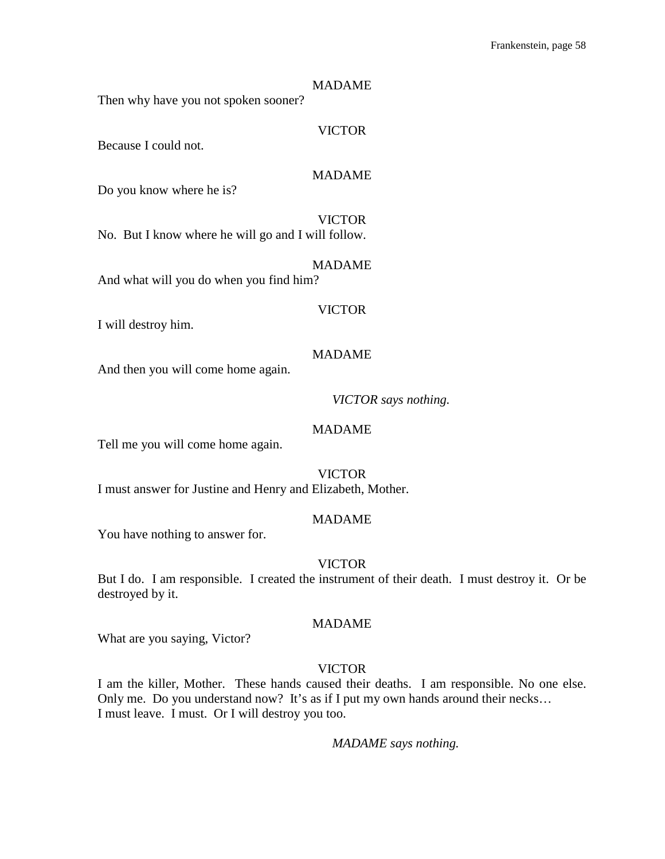#### MADAME

Then why have you not spoken sooner?

## VICTOR

Because I could not.

## MADAME

Do you know where he is?

#### VICTOR

No. But I know where he will go and I will follow.

MADAME And what will you do when you find him?

#### VICTOR

I will destroy him.

## MADAME

And then you will come home again.

## *VICTOR says nothing.*

## MADAME

Tell me you will come home again.

VICTOR

I must answer for Justine and Henry and Elizabeth, Mother.

## MADAME

You have nothing to answer for.

#### VICTOR

But I do. I am responsible. I created the instrument of their death. I must destroy it. Or be destroyed by it.

#### MADAME

What are you saying, Victor?

## VICTOR

I am the killer, Mother. These hands caused their deaths. I am responsible. No one else. Only me. Do you understand now? It's as if I put my own hands around their necks… I must leave. I must. Or I will destroy you too.

*MADAME says nothing.*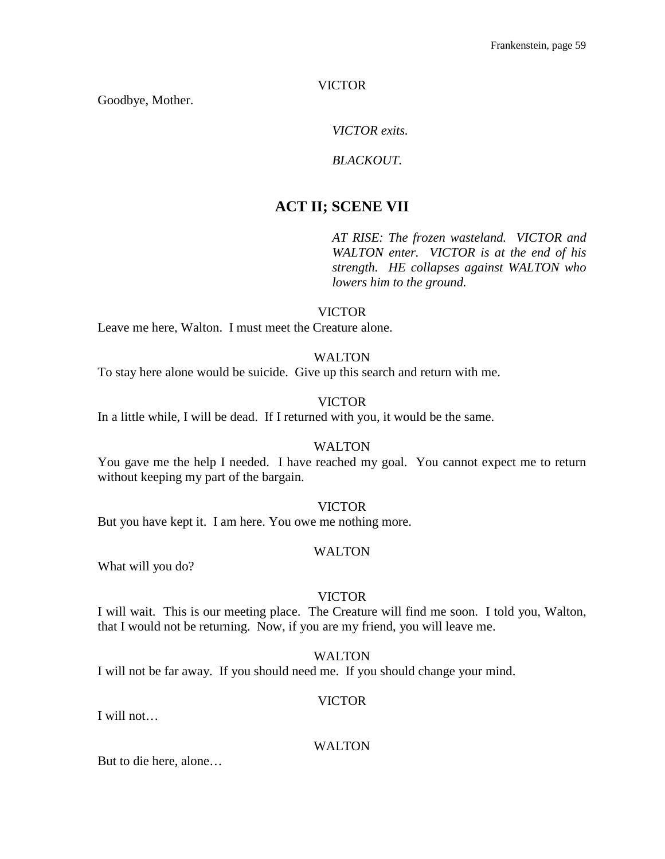Goodbye, Mother.

*VICTOR exits.*

## *BLACKOUT.*

# **ACT II; SCENE VII**

*AT RISE: The frozen wasteland. VICTOR and WALTON enter. VICTOR is at the end of his strength. HE collapses against WALTON who lowers him to the ground.*

## VICTOR

Leave me here, Walton. I must meet the Creature alone.

## WALTON

To stay here alone would be suicide. Give up this search and return with me.

## VICTOR

In a little while, I will be dead. If I returned with you, it would be the same.

## WALTON

You gave me the help I needed. I have reached my goal. You cannot expect me to return without keeping my part of the bargain.

## VICTOR

But you have kept it. I am here. You owe me nothing more.

#### WALTON

What will you do?

#### VICTOR

I will wait. This is our meeting place. The Creature will find me soon. I told you, Walton, that I would not be returning. Now, if you are my friend, you will leave me.

## WALTON

I will not be far away. If you should need me. If you should change your mind.

## VICTOR

I will not…

## WALTON

But to die here, alone…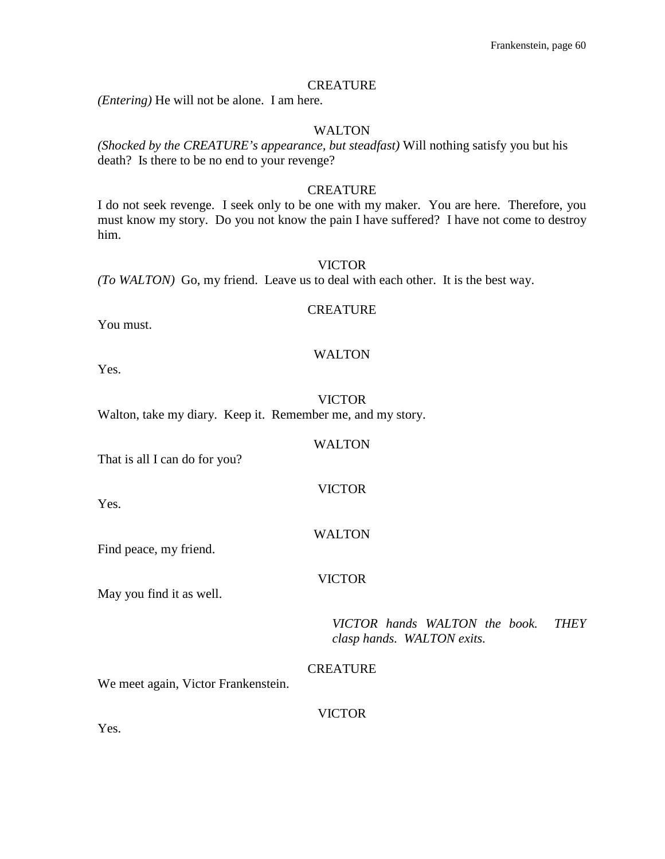#### **CREATURE**

*(Entering)* He will not be alone. I am here.

#### WALTON

*(Shocked by the CREATURE's appearance, but steadfast)* Will nothing satisfy you but his death? Is there to be no end to your revenge?

#### **CREATURE**

I do not seek revenge. I seek only to be one with my maker. You are here. Therefore, you must know my story. Do you not know the pain I have suffered? I have not come to destroy him.

#### VICTOR

*(To WALTON)* Go, my friend. Leave us to deal with each other. It is the best way.

#### **CREATURE**

You must.

## WALTON

Yes.

VICTOR

WALTON

VICTOR

WALTON

VICTOR

Walton, take my diary. Keep it. Remember me, and my story.

That is all I can do for you?

Yes.

Find peace, my friend.

May you find it as well.

*VICTOR hands WALTON the book. THEY clasp hands. WALTON exits.*

**CREATURE** 

We meet again, Victor Frankenstein.

#### VICTOR

Yes.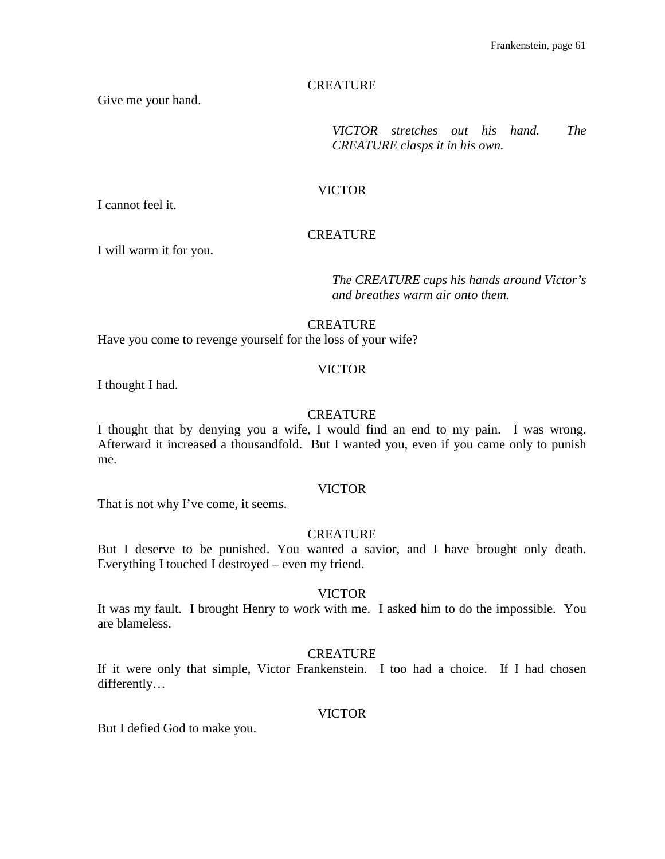## **CREATURE**

Give me your hand.

*VICTOR stretches out his hand. The CREATURE clasps it in his own.*

#### VICTOR

I cannot feel it.

## **CREATURE**

I will warm it for you.

*The CREATURE cups his hands around Victor's and breathes warm air onto them.*

#### **CREATURE**

Have you come to revenge yourself for the loss of your wife?

#### VICTOR

I thought I had.

#### **CREATURE**

I thought that by denying you a wife, I would find an end to my pain. I was wrong. Afterward it increased a thousandfold. But I wanted you, even if you came only to punish me.

#### VICTOR

That is not why I've come, it seems.

## **CREATURE**

But I deserve to be punished. You wanted a savior, and I have brought only death. Everything I touched I destroyed – even my friend.

#### VICTOR

It was my fault. I brought Henry to work with me. I asked him to do the impossible. You are blameless.

#### **CREATURE**

If it were only that simple, Victor Frankenstein. I too had a choice. If I had chosen differently…

#### VICTOR

But I defied God to make you.